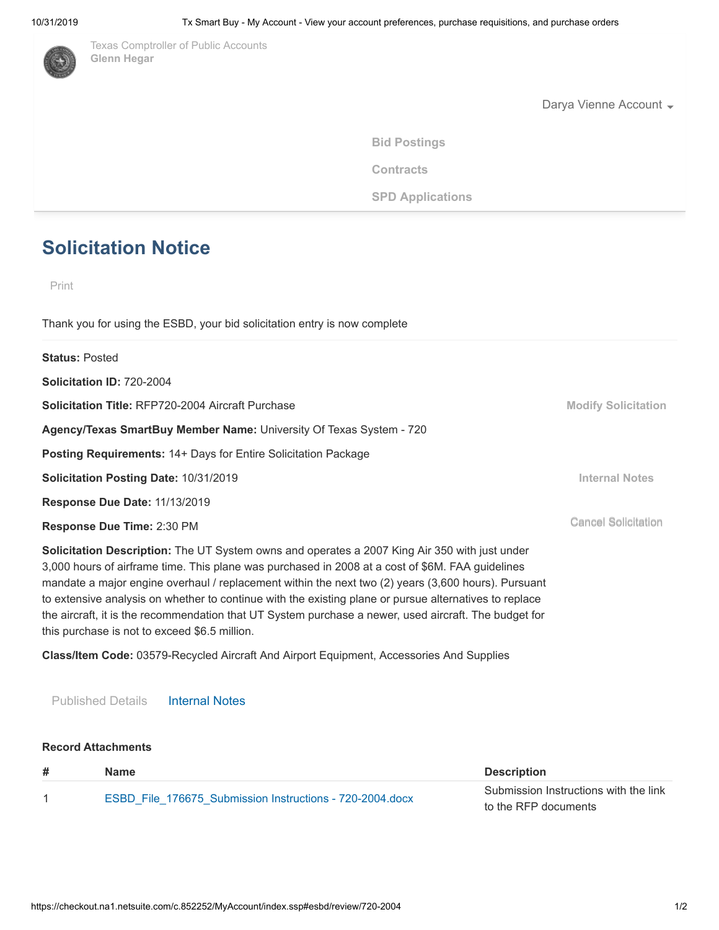

[T](http://www.comptroller.texas.gov/)exas Comptroller of Public Accounts **Glenn Hegar**

Darya Vienne Account  $\overline{\phantom{a}}$ 

**[Bid Postings](http://www.txsmartbuy.com/sp)**

**Contracts** 

**SPD Applications** 

# **Solicitation Notice**

Print

Thank you for using the ESBD, your bid solicitation entry is now complete

| <b>Status: Posted</b>                                                                                                                                                                                                                                                                                    |                            |
|----------------------------------------------------------------------------------------------------------------------------------------------------------------------------------------------------------------------------------------------------------------------------------------------------------|----------------------------|
| Solicitation ID: 720-2004                                                                                                                                                                                                                                                                                |                            |
| <b>Solicitation Title: RFP720-2004 Aircraft Purchase</b>                                                                                                                                                                                                                                                 | <b>Modify Solicitation</b> |
| Agency/Texas SmartBuy Member Name: University Of Texas System - 720                                                                                                                                                                                                                                      |                            |
| <b>Posting Requirements: 14+ Days for Entire Solicitation Package</b>                                                                                                                                                                                                                                    |                            |
| Solicitation Posting Date: 10/31/2019                                                                                                                                                                                                                                                                    | <b>Internal Notes</b>      |
| Response Due Date: 11/13/2019                                                                                                                                                                                                                                                                            |                            |
| Response Due Time: 2:30 PM                                                                                                                                                                                                                                                                               | <b>Cancel Solicitation</b> |
| Solicitation Description: The UT System owns and operates a 2007 King Air 350 with just under<br>3,000 hours of airframe time. This plane was purchased in 2008 at a cost of \$6M. FAA guidelines<br>mandate a major engine overhaul / replacement within the next two (2) years (3,600 hours). Pursuant |                            |

the aircraft, it is the recommendation that UT System purchase a newer, used aircraft. The budget for this purchase is not to exceed \$6.5 million.

**Class/Item Code:** 03579-Recycled Aircraft And Airport Equipment, Accessories And Supplies

to extensive analysis on whether to continue with the existing plane or pursue alternatives to replace

Published Details Internal Notes

#### **Record Attachments**

| # | Name                                                     | <b>Description</b>                    |
|---|----------------------------------------------------------|---------------------------------------|
|   | ESBD File 176675 Submission Instructions - 720-2004 docx | Submission Instructions with the link |
|   |                                                          | to the RFP documents                  |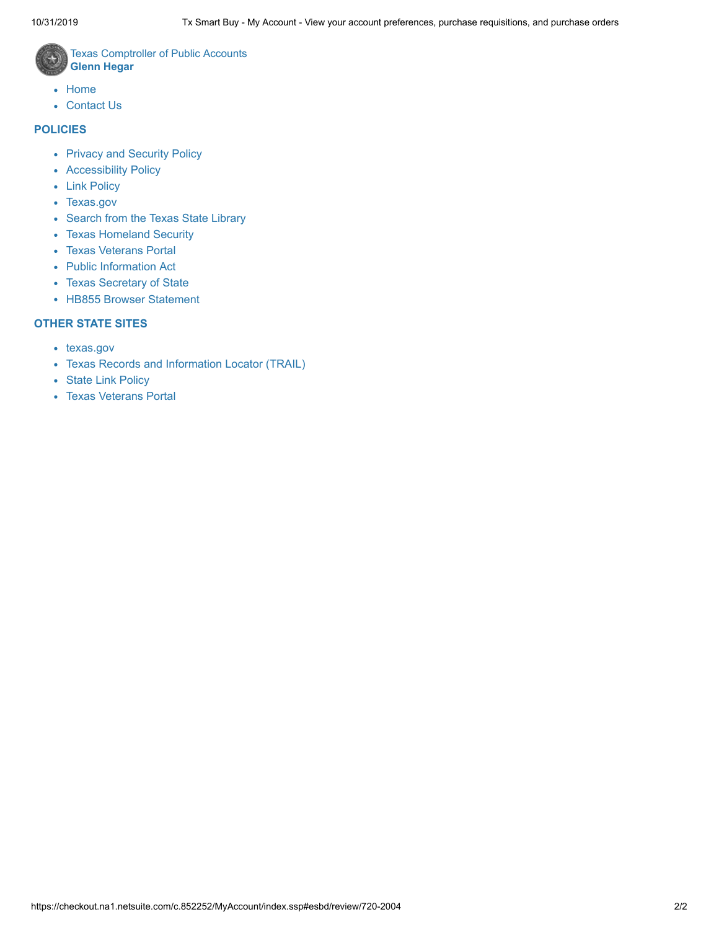

Texas Comptroller of Public Accounts **Glenn Hegar**

- [Home](http://comptroller.texas.gov/)
- [Contact Us](http://comptroller.texas.gov/about/contact/)

### **POLICIES**

- [Privacy and Security Policy](https://comptroller.texas.gov/about/policies/privacy.php)
- [Accessibility Policy](https://comptroller.texas.gov/about/policies/accessibility.php)
- [Link Policy](https://comptroller.texas.gov/about/policies/links.php)
- [Texas.gov](http://texas.gov/)
- [Search from the Texas State Library](https://www.tsl.texas.gov/trail/index.html)
- [Texas Homeland Security](http://www.dhs.gov/geography/texas)
- [Texas Veterans Portal](https://veterans.portal.texas.gov/)
- [Public Information Act](https://comptroller.texas.gov/about/policies/public-information-act.php)
- [Texas Secretary of State](http://www.sos.state.tx.us/)
- HB855 Browser Statement

## **OTHER STATE SITES**

- [texas.gov](https://www.texas.gov/)
- [Texas Records and Information Locator \(TRAIL\)](http://www.tsl.state.tx.us/trail/)
- [State Link Policy](http://publishingext.dir.texas.gov/portal/internal/resources/DocumentLibrary/State%20Website%20Linking%20and%20Privacy%20Policy.pdf)
- [Texas Veterans Portal](http://veterans.portal.texas.gov/)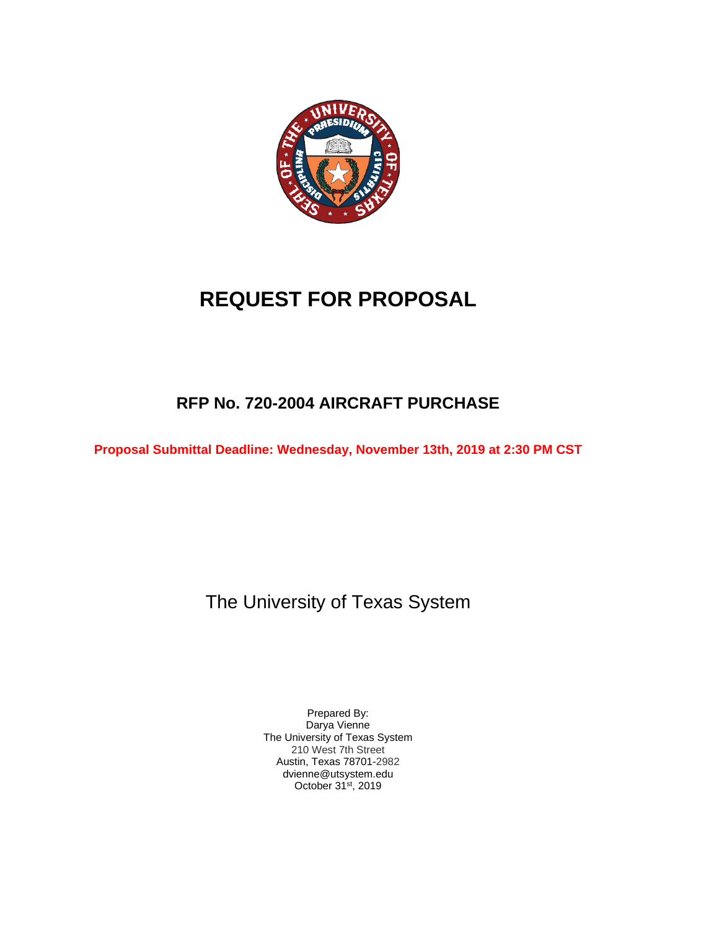

# **REQUEST FOR PROPOSAL**

# **RFP No. 720-2004 AIRCRAFT PURCHASE**

**Proposal Submittal Deadline: Wednesday, November 13th, 2019 at 2:30 PM CST**

The University of Texas System

Prepared By: Darya Vienne The University of Texas System 210 West 7th Street Austin, Texas 78701-2982 dvienne@utsystem.edu October 31st, 2019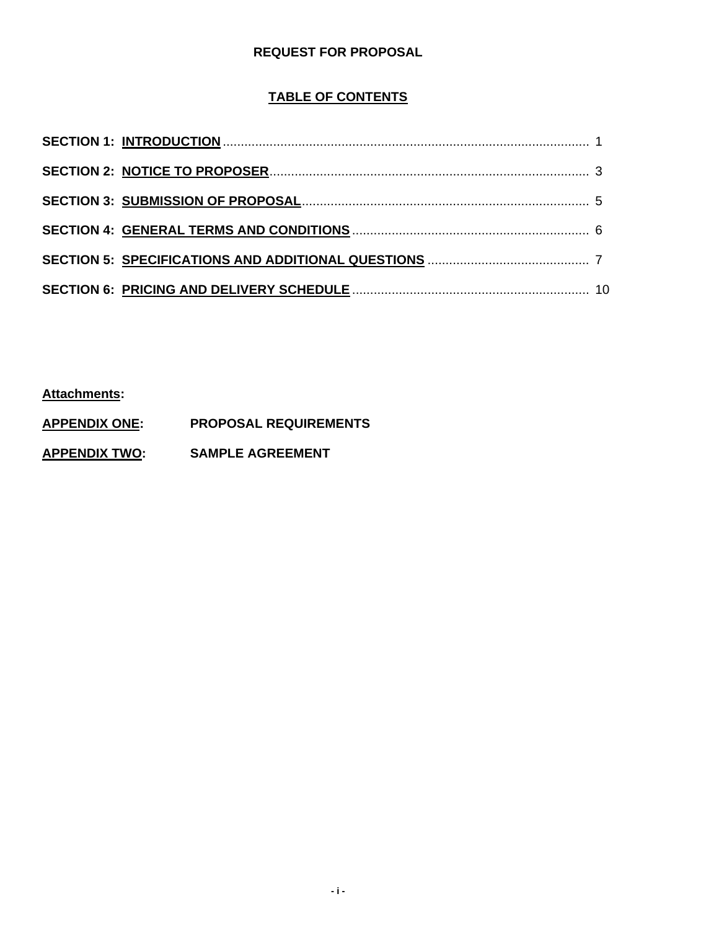## **REQUEST FOR PROPOSAL**

## **TABLE OF CONTENTS**

**Attachments:**

**APPENDIX ONE: PROPOSAL REQUIREMENTS**

**APPENDIX TWO: SAMPLE AGREEMENT**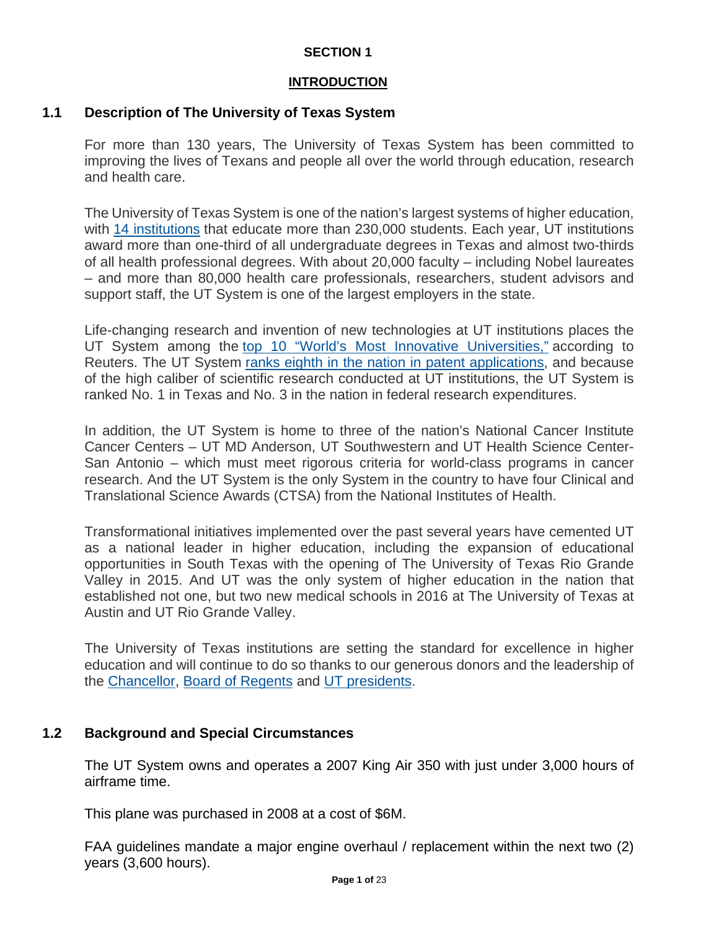## **INTRODUCTION**

## **1.1 Description of The University of Texas System**

For more than 130 years, The University of Texas System has been committed to improving the lives of Texans and people all over the world through education, research and health care.

The University of Texas System is one of the nation's largest systems of higher education, with [14 institutions](https://www.utsystem.edu/institutions) that educate more than 230,000 students. Each year, UT institutions award more than one-third of all undergraduate degrees in Texas and almost two-thirds of all health professional degrees. With about 20,000 faculty – including Nobel laureates – and more than 80,000 health care professionals, researchers, student advisors and support staff, the UT System is one of the largest employers in the state.

Life-changing research and invention of new technologies at UT institutions places the UT System among the [top 10 "World's Most Innovative Universities,"](https://www.utsystem.edu/news/2017/09/28/ut-system-among-top-10-most-innovative-universities-world) according to Reuters. The UT System [ranks eighth in the nation in patent applications,](https://www.utsystem.edu/news/2017/06/07/ut-system-ranks-8th-globally-most-us-patents-granted-2016) and because of the high caliber of scientific research conducted at UT institutions, the UT System is ranked No. 1 in Texas and No. 3 in the nation in federal research expenditures.

In addition, the UT System is home to three of the nation's National Cancer Institute Cancer Centers – UT MD Anderson, UT Southwestern and UT Health Science Center-San Antonio – which must meet rigorous criteria for world-class programs in cancer research. And the UT System is the only System in the country to have four Clinical and Translational Science Awards (CTSA) from the National Institutes of Health.

Transformational initiatives implemented over the past several years have cemented UT as a national leader in higher education, including the expansion of educational opportunities in South Texas with the opening of The University of Texas Rio Grande Valley in 2015. And UT was the only system of higher education in the nation that established not one, but two new medical schools in 2016 at The University of Texas at Austin and UT Rio Grande Valley.

The University of Texas institutions are setting the standard for excellence in higher education and will continue to do so thanks to our generous donors and the leadership of the [Chancellor,](https://www.utsystem.edu/chancellor) [Board of Regents](https://www.utsystem.edu/regents) and [UT presidents.](https://www.utsystem.edu/institutions)

## **1.2 Background and Special Circumstances**

The UT System owns and operates a 2007 King Air 350 with just under 3,000 hours of airframe time.

This plane was purchased in 2008 at a cost of \$6M.

FAA guidelines mandate a major engine overhaul / replacement within the next two (2) years (3,600 hours).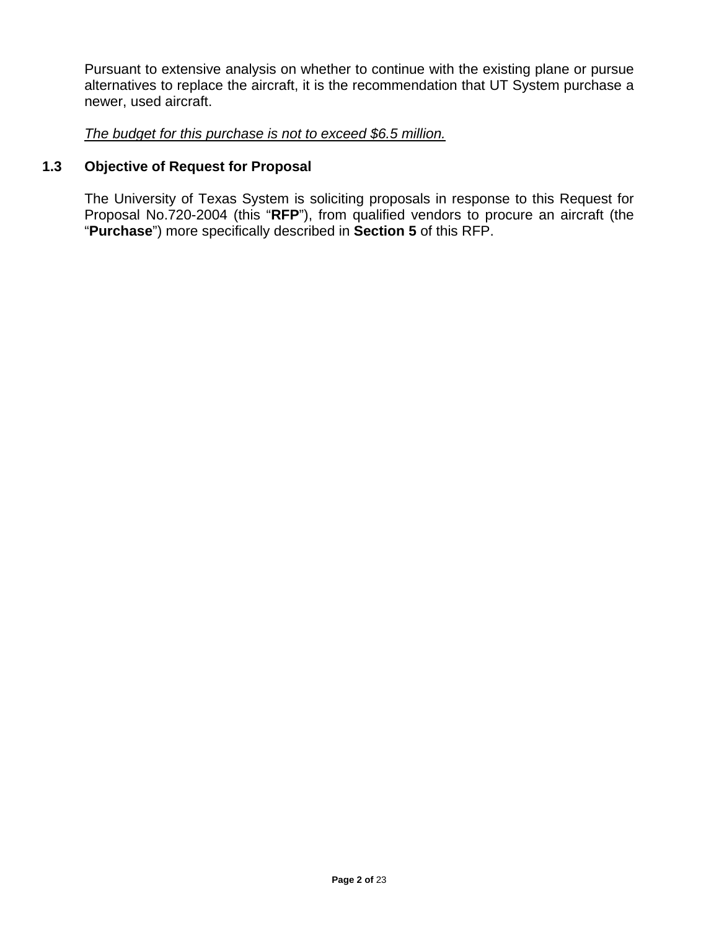Pursuant to extensive analysis on whether to continue with the existing plane or pursue alternatives to replace the aircraft, it is the recommendation that UT System purchase a newer, used aircraft.

*The budget for this purchase is not to exceed \$6.5 million.*

## **1.3 Objective of Request for Proposal**

The University of Texas System is soliciting proposals in response to this Request for Proposal No.720-2004 (this "**RFP**"), from qualified vendors to procure an aircraft (the "**Purchase**") more specifically described in **Section 5** of this RFP.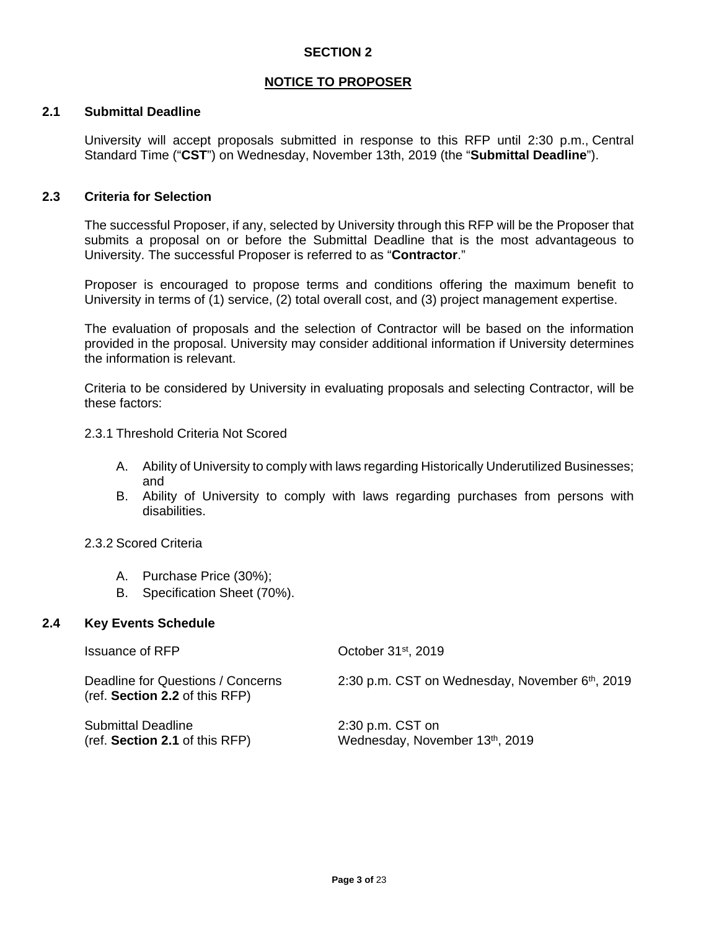## **NOTICE TO PROPOSER**

## **2.1 Submittal Deadline**

University will accept proposals submitted in response to this RFP until 2:30 p.m., Central Standard Time ("**CST**") on Wednesday, November 13th, 2019 (the "**Submittal Deadline**").

### **2.3 Criteria for Selection**

The successful Proposer, if any, selected by University through this RFP will be the Proposer that submits a proposal on or before the Submittal Deadline that is the most advantageous to University. The successful Proposer is referred to as "**Contractor**."

Proposer is encouraged to propose terms and conditions offering the maximum benefit to University in terms of (1) service, (2) total overall cost, and (3) project management expertise.

The evaluation of proposals and the selection of Contractor will be based on the information provided in the proposal. University may consider additional information if University determines the information is relevant.

Criteria to be considered by University in evaluating proposals and selecting Contractor, will be these factors:

2.3.1 Threshold Criteria Not Scored

- A. Ability of University to comply with laws regarding Historically Underutilized Businesses; and
- B. Ability of University to comply with laws regarding purchases from persons with disabilities.

### 2.3.2 Scored Criteria

- A. Purchase Price (30%);
- B. Specification Sheet (70%).

### **2.4 Key Events Schedule**

| <b>Issuance of RFP</b>                                              | October 31 <sup>st</sup> , 2019                             |
|---------------------------------------------------------------------|-------------------------------------------------------------|
| Deadline for Questions / Concerns<br>(ref. Section 2.2 of this RFP) | 2:30 p.m. CST on Wednesday, November 6 <sup>th</sup> , 2019 |
| <b>Submittal Deadline</b><br>(ref. Section 2.1 of this RFP)         | $2:30$ p.m. CST on<br>Wednesday, November 13th, 2019        |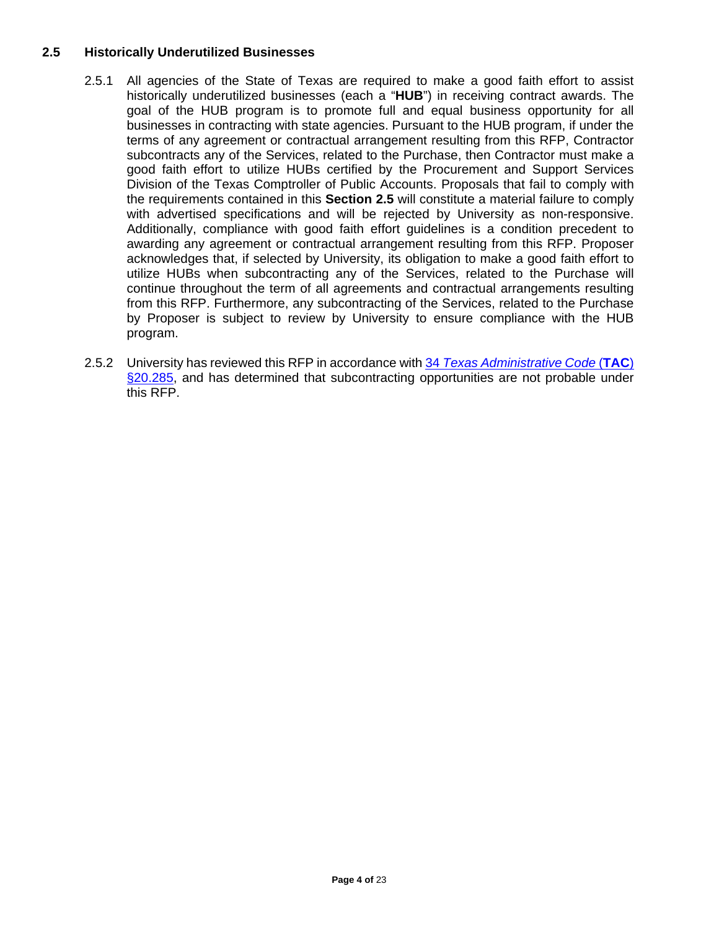## **2.5 Historically Underutilized Businesses**

- 2.5.1 All agencies of the State of Texas are required to make a good faith effort to assist historically underutilized businesses (each a "**HUB**") in receiving contract awards. The goal of the HUB program is to promote full and equal business opportunity for all businesses in contracting with state agencies. Pursuant to the HUB program, if under the terms of any agreement or contractual arrangement resulting from this RFP, Contractor subcontracts any of the Services, related to the Purchase, then Contractor must make a good faith effort to utilize HUBs certified by the Procurement and Support Services Division of the Texas Comptroller of Public Accounts. Proposals that fail to comply with the requirements contained in this **Section 2.5** will constitute a material failure to comply with advertised specifications and will be rejected by University as non-responsive. Additionally, compliance with good faith effort guidelines is a condition precedent to awarding any agreement or contractual arrangement resulting from this RFP. Proposer acknowledges that, if selected by University, its obligation to make a good faith effort to utilize HUBs when subcontracting any of the Services, related to the Purchase will continue throughout the term of all agreements and contractual arrangements resulting from this RFP. Furthermore, any subcontracting of the Services, related to the Purchase by Proposer is subject to review by University to ensure compliance with the HUB program.
- 2.5.2 University has reviewed this RFP in accordance with 34 *[Texas Administrative Code](http://texreg.sos.state.tx.us/public/readtac$ext.TacPage?sl=R&app=9&p_dir=&p_rloc=&p_tloc=&p_ploc=&pg=1&p_tac=&ti=34&pt=1&ch=20&rl=285)* (**TAC**) [§20.285,](http://texreg.sos.state.tx.us/public/readtac$ext.TacPage?sl=R&app=9&p_dir=&p_rloc=&p_tloc=&p_ploc=&pg=1&p_tac=&ti=34&pt=1&ch=20&rl=285) and has determined that subcontracting opportunities are not probable under this RFP.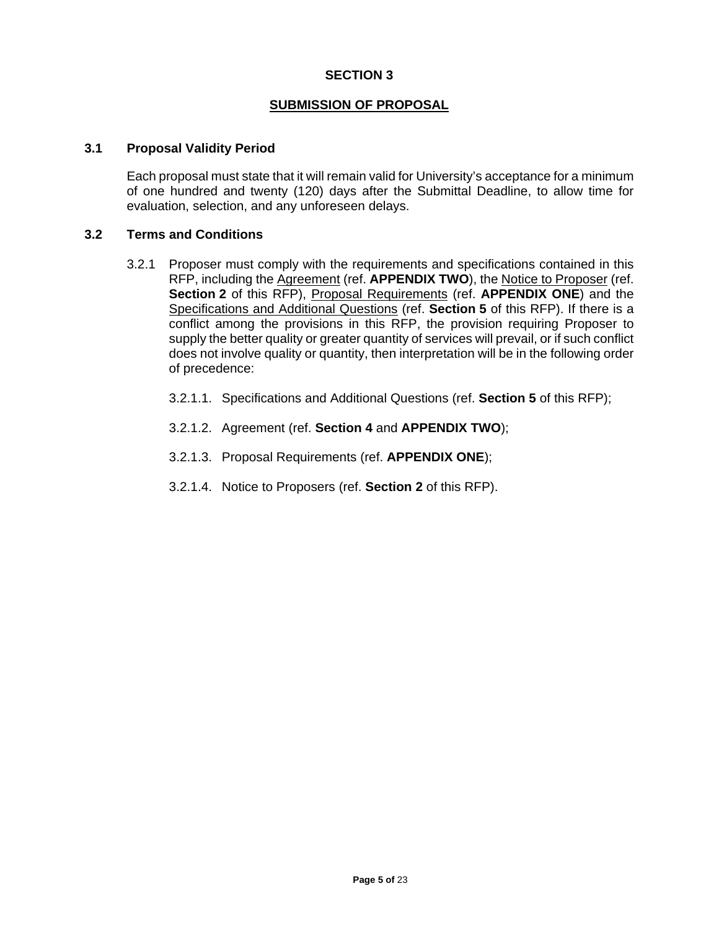### **SUBMISSION OF PROPOSAL**

### **3.1 Proposal Validity Period**

Each proposal must state that it will remain valid for University's acceptance for a minimum of one hundred and twenty (120) days after the Submittal Deadline, to allow time for evaluation, selection, and any unforeseen delays.

## **3.2 Terms and Conditions**

- 3.2.1 Proposer must comply with the requirements and specifications contained in this RFP, including the Agreement (ref. **APPENDIX TWO**), the Notice to Proposer (ref. **Section 2** of this RFP), Proposal Requirements (ref. **APPENDIX ONE**) and the Specifications and Additional Questions (ref. **Section 5** of this RFP). If there is a conflict among the provisions in this RFP, the provision requiring Proposer to supply the better quality or greater quantity of services will prevail, or if such conflict does not involve quality or quantity, then interpretation will be in the following order of precedence:
	- 3.2.1.1. Specifications and Additional Questions (ref. **Section 5** of this RFP);
	- 3.2.1.2. Agreement (ref. **Section 4** and **APPENDIX TWO**);
	- 3.2.1.3. Proposal Requirements (ref. **APPENDIX ONE**);
	- 3.2.1.4. Notice to Proposers (ref. **Section 2** of this RFP).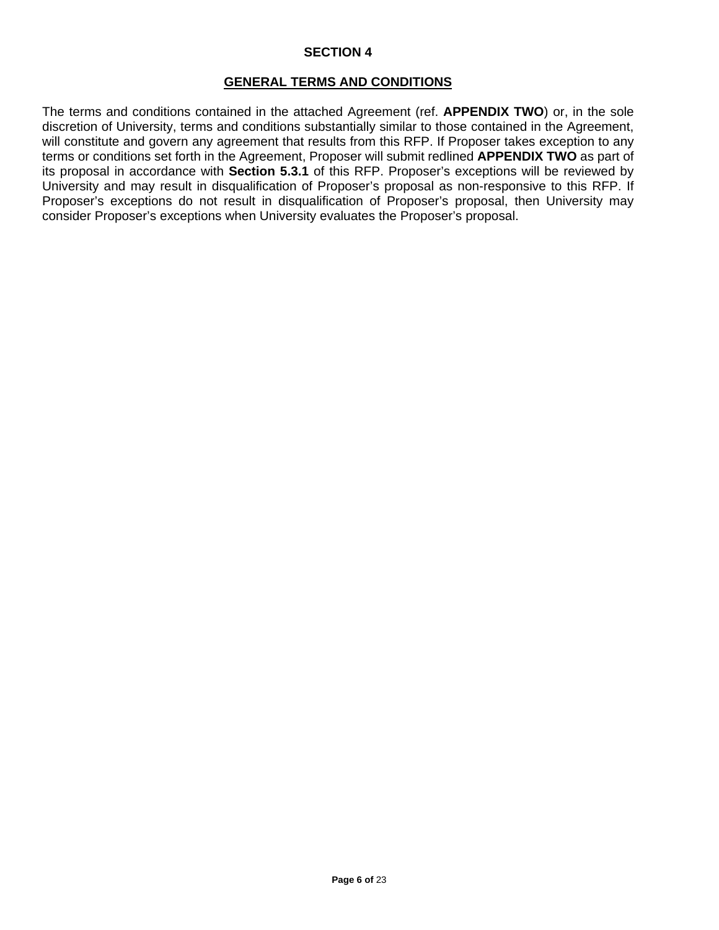### **GENERAL TERMS AND CONDITIONS**

The terms and conditions contained in the attached Agreement (ref. **APPENDIX TWO**) or, in the sole discretion of University, terms and conditions substantially similar to those contained in the Agreement, will constitute and govern any agreement that results from this RFP. If Proposer takes exception to any terms or conditions set forth in the Agreement, Proposer will submit redlined **APPENDIX TWO** as part of its proposal in accordance with **Section 5.3.1** of this RFP. Proposer's exceptions will be reviewed by University and may result in disqualification of Proposer's proposal as non-responsive to this RFP. If Proposer's exceptions do not result in disqualification of Proposer's proposal, then University may consider Proposer's exceptions when University evaluates the Proposer's proposal.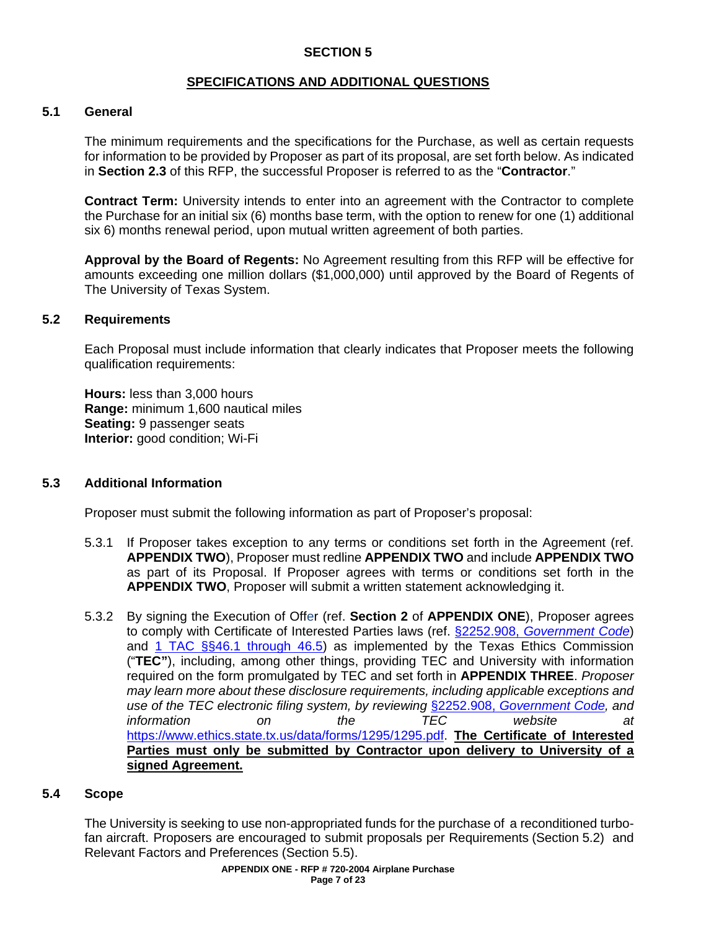## **SPECIFICATIONS AND ADDITIONAL QUESTIONS**

## **5.1 General**

The minimum requirements and the specifications for the Purchase, as well as certain requests for information to be provided by Proposer as part of its proposal, are set forth below. As indicated in **Section 2.3** of this RFP, the successful Proposer is referred to as the "**Contractor**."

**Contract Term:** University intends to enter into an agreement with the Contractor to complete the Purchase for an initial six (6) months base term, with the option to renew for one (1) additional six 6) months renewal period, upon mutual written agreement of both parties.

**Approval by the Board of Regents:** No Agreement resulting from this RFP will be effective for amounts exceeding one million dollars (\$1,000,000) until approved by the Board of Regents of The University of Texas System.

### **5.2 Requirements**

Each Proposal must include information that clearly indicates that Proposer meets the following qualification requirements:

**Hours:** less than 3,000 hours **Range:** minimum 1,600 nautical miles **Seating:** 9 passenger seats **Interior:** good condition; Wi-Fi

### **5.3 Additional Information**

Proposer must submit the following information as part of Proposer's proposal:

- 5.3.1 If Proposer takes exception to any terms or conditions set forth in the Agreement (ref. **APPENDIX TWO**), Proposer must redline **APPENDIX TWO** and include **APPENDIX TWO** as part of its Proposal. If Proposer agrees with terms or conditions set forth in the **APPENDIX TWO**, Proposer will submit a written statement acknowledging it.
- 5.3.2 By signing the Execution of Offer (ref. **Section 2** of **APPENDIX ONE**), Proposer agrees to comply with Certificate of Interested Parties laws (ref. §2252.908, *[Government Code](http://www.statutes.legis.state.tx.us/Docs/GV/htm/GV.2252.htm#2252.908)*) and [1 TAC §§46.1 through 46.5\)](https://www.ethics.state.tx.us/rules/adopted_Nov_2015.html#Ch46.1) as implemented by the Texas Ethics Commission ("**TEC"**), including, among other things, providing TEC and University with information required on the form promulgated by TEC and set forth in **APPENDIX THREE**. *Proposer may learn more about these disclosure requirements, including applicable exceptions and use of the TEC electronic filing system, by reviewing* §2252.908, *[Government Code,](http://www.statutes.legis.state.tx.us/Docs/GV/htm/GV.2252.htm#2252.908) and information on the TEC website at* [https://www.ethics.state.tx.us/data/forms/1295/1295.pdf.](https://www.ethics.state.tx.us/data/forms/1295/1295.pdf) **The Certificate of Interested Parties must only be submitted by Contractor upon delivery to University of a signed Agreement.**

### **5.4 Scope**

The University is seeking to use non-appropriated funds for the purchase of a reconditioned turbofan aircraft. Proposers are encouraged to submit proposals per Requirements (Section 5.2) and Relevant Factors and Preferences (Section 5.5).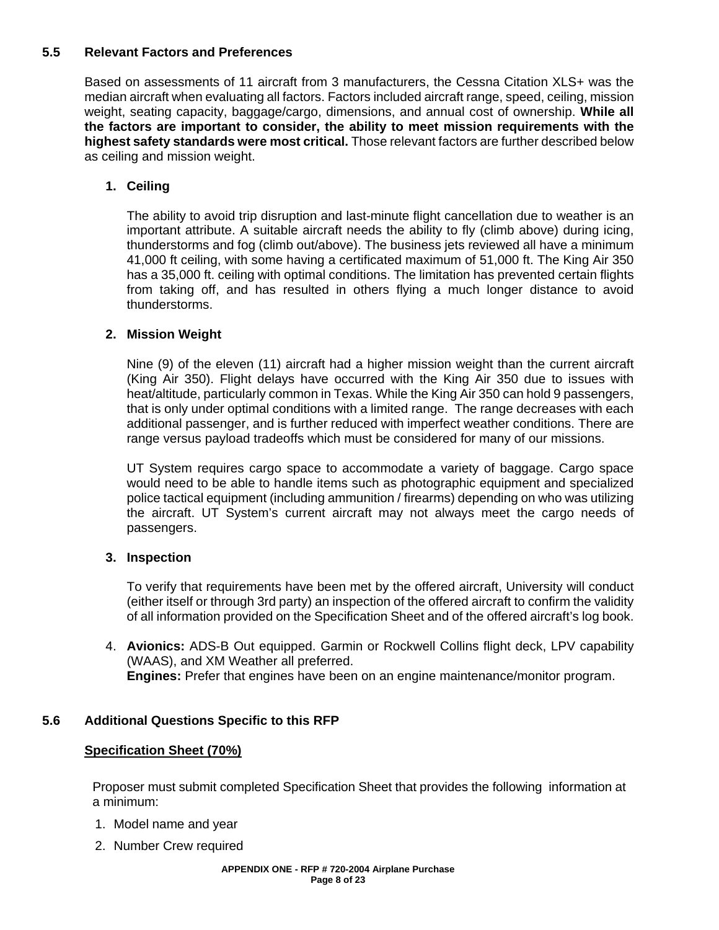## **5.5 Relevant Factors and Preferences**

Based on assessments of 11 aircraft from 3 manufacturers, the Cessna Citation XLS+ was the median aircraft when evaluating all factors. Factors included aircraft range, speed, ceiling, mission weight, seating capacity, baggage/cargo, dimensions, and annual cost of ownership. **While all the factors are important to consider, the ability to meet mission requirements with the highest safety standards were most critical.** Those relevant factors are further described below as ceiling and mission weight.

## **1. Ceiling**

The ability to avoid trip disruption and last-minute flight cancellation due to weather is an important attribute. A suitable aircraft needs the ability to fly (climb above) during icing, thunderstorms and fog (climb out/above). The business jets reviewed all have a minimum 41,000 ft ceiling, with some having a certificated maximum of 51,000 ft. The King Air 350 has a 35,000 ft. ceiling with optimal conditions. The limitation has prevented certain flights from taking off, and has resulted in others flying a much longer distance to avoid thunderstorms.

## **2. Mission Weight**

Nine (9) of the eleven (11) aircraft had a higher mission weight than the current aircraft (King Air 350). Flight delays have occurred with the King Air 350 due to issues with heat/altitude, particularly common in Texas. While the King Air 350 can hold 9 passengers, that is only under optimal conditions with a limited range. The range decreases with each additional passenger, and is further reduced with imperfect weather conditions. There are range versus payload tradeoffs which must be considered for many of our missions.

UT System requires cargo space to accommodate a variety of baggage. Cargo space would need to be able to handle items such as photographic equipment and specialized police tactical equipment (including ammunition / firearms) depending on who was utilizing the aircraft. UT System's current aircraft may not always meet the cargo needs of passengers.

## **3. Inspection**

To verify that requirements have been met by the offered aircraft, University will conduct (either itself or through 3rd party) an inspection of the offered aircraft to confirm the validity of all information provided on the Specification Sheet and of the offered aircraft's log book.

4. **Avionics:** ADS-B Out equipped. Garmin or Rockwell Collins flight deck, LPV capability (WAAS), and XM Weather all preferred. **Engines:** Prefer that engines have been on an engine maintenance/monitor program.

## **5.6 Additional Questions Specific to this RFP**

## **Specification Sheet (70%)**

Proposer must submit completed Specification Sheet that provides the following information at a minimum:

- 1. Model name and year
- 2. Number Crew required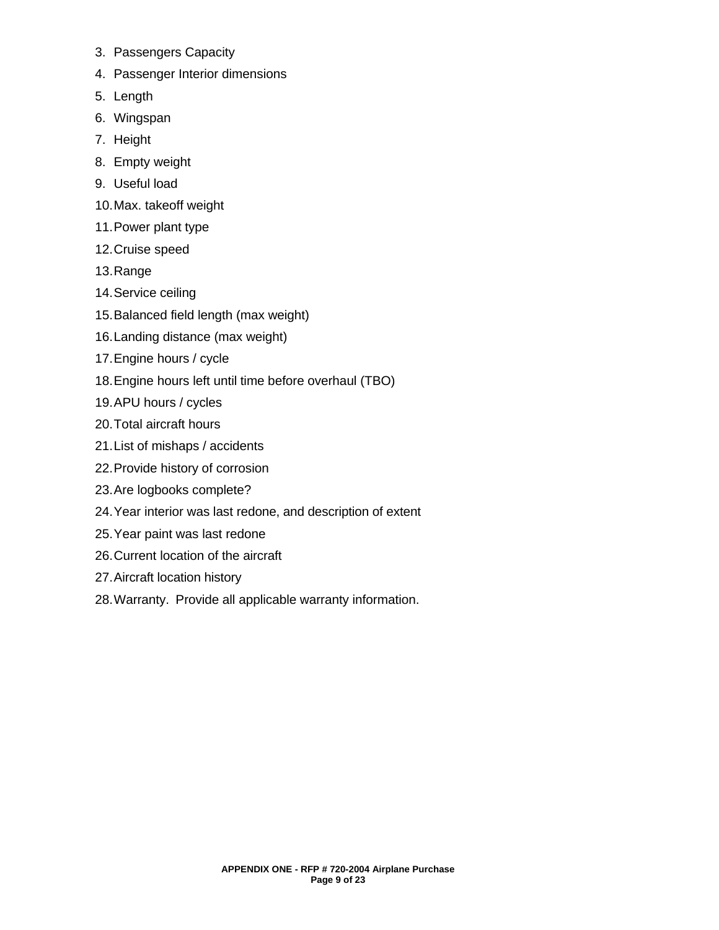- 3. Passengers Capacity
- 4. Passenger Interior dimensions
- 5. Length
- 6. Wingspan
- 7. Height
- 8. Empty weight
- 9. Useful load
- 10.Max. takeoff weight
- 11.Power plant type
- 12.Cruise speed
- 13.Range
- 14.Service ceiling
- 15.Balanced field length (max weight)
- 16.Landing distance (max weight)
- 17.Engine hours / cycle
- 18.Engine hours left until time before overhaul (TBO)
- 19.APU hours / cycles
- 20.Total aircraft hours
- 21.List of mishaps / accidents
- 22.Provide history of corrosion
- 23.Are logbooks complete?
- 24.Year interior was last redone, and description of extent
- 25.Year paint was last redone
- 26.Current location of the aircraft
- 27.Aircraft location history
- 28.Warranty. Provide all applicable warranty information.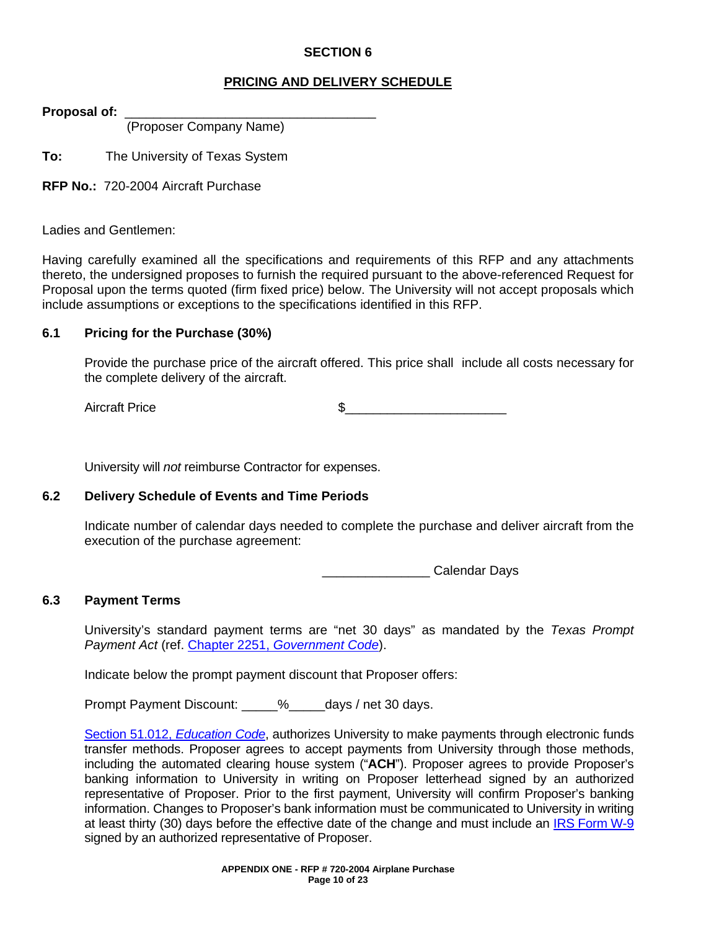## **PRICING AND DELIVERY SCHEDULE**

**Proposal of:** \_\_\_\_\_\_\_\_\_\_\_\_\_\_\_\_\_\_\_\_\_\_\_\_\_\_\_\_\_\_\_\_\_\_\_

(Proposer Company Name)

**To:** The University of Texas System

**RFP No.:** 720-2004 Aircraft Purchase

Ladies and Gentlemen:

Having carefully examined all the specifications and requirements of this RFP and any attachments thereto, the undersigned proposes to furnish the required pursuant to the above-referenced Request for Proposal upon the terms quoted (firm fixed price) below. The University will not accept proposals which include assumptions or exceptions to the specifications identified in this RFP.

## **6.1 Pricing for the Purchase (30%)**

Provide the purchase price of the aircraft offered. This price shall include all costs necessary for the complete delivery of the aircraft.

Aircraft Price  $\qquad \qquad \, \text{S}$ 

University will *not* reimburse Contractor for expenses.

### **6.2 Delivery Schedule of Events and Time Periods**

Indicate number of calendar days needed to complete the purchase and deliver aircraft from the execution of the purchase agreement:

extendar Days

## **6.3 Payment Terms**

University's standard payment terms are "net 30 days" as mandated by the *Texas Prompt Payment Act* (ref. Chapter 2251, *[Government Code](http://www.statutes.legis.state.tx.us/Docs/GV/htm/GV.2251.htm)*).

Indicate below the prompt payment discount that Proposer offers:

Prompt Payment Discount:  $\frac{1}{2}$  % days / net 30 days.

[Section 51.012,](http://www.statutes.legis.state.tx.us/Docs/ED/htm/ED.51.htm#51.012) *Education Code*, authorizes University to make payments through electronic funds transfer methods. Proposer agrees to accept payments from University through those methods, including the automated clearing house system ("**ACH**"). Proposer agrees to provide Proposer's banking information to University in writing on Proposer letterhead signed by an authorized representative of Proposer. Prior to the first payment, University will confirm Proposer's banking information. Changes to Proposer's bank information must be communicated to University in writing at least thirty (30) days before the effective date of the change and must include an IRS [Form](https://www.irs.gov/uac/about-form-w9) W-9 signed by an authorized representative of Proposer.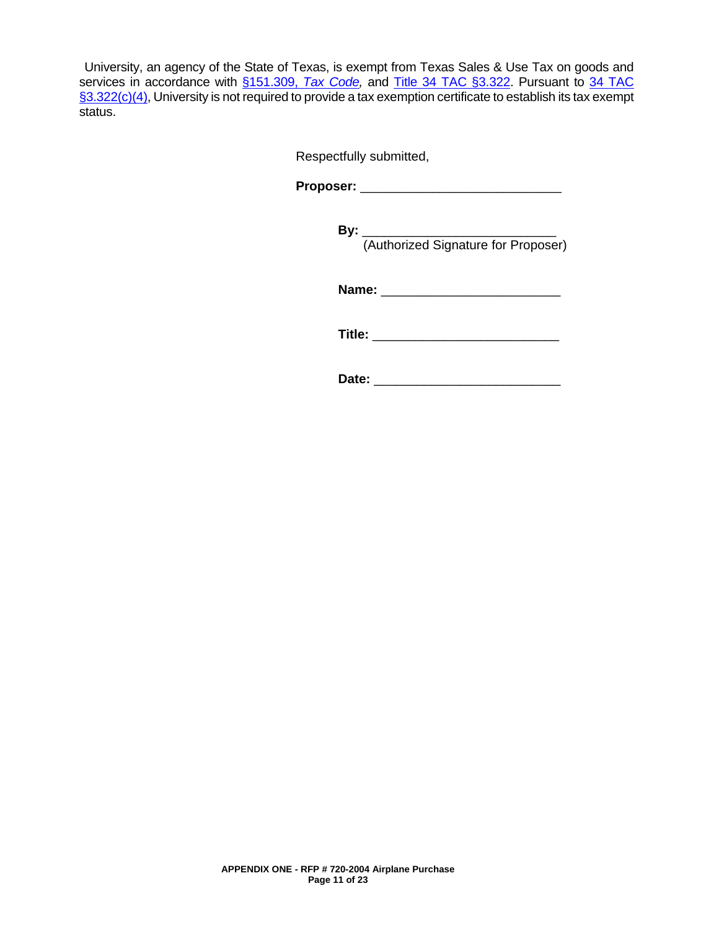University, an agency of the State of Texas, is exempt from Texas Sales & Use Tax on goods and services in accordance with [§151.309,](http://www.statutes.legis.state.tx.us/Docs/TX/htm/TX.151.htm#151.309) *Tax Code*, and [Title 34 TAC](http://texreg.sos.state.tx.us/public/readtac$ext.TacPage?sl=R&app=9&p_dir=&p_rloc=&p_tloc=&p_ploc=&pg=1&p_tac=&ti=34&pt=1&ch=3&rl=322) §3.322. Pursuant to 34 TAC [§3.322\(c\)\(4\),](http://texreg.sos.state.tx.us/public/readtac$ext.TacPage?sl=R&app=9&p_dir=&p_rloc=&p_tloc=&p_ploc=&pg=1&p_tac=&ti=34&pt=1&ch=3&rl=322) University is not required to provide a tax exemption certificate to establish its tax exempt status.

Respectfully submitted,

**Proposer:** \_\_\_\_\_\_\_\_\_\_\_\_\_\_\_\_\_\_\_\_\_\_\_\_\_\_\_\_

**By:** \_\_\_\_\_\_\_\_\_\_\_\_\_\_\_\_\_\_\_\_\_\_\_\_\_\_\_ (Authorized Signature for Proposer)

**Name:** \_\_\_\_\_\_\_\_\_\_\_\_\_\_\_\_\_\_\_\_\_\_\_\_\_

**Title:** \_\_\_\_\_\_\_\_\_\_\_\_\_\_\_\_\_\_\_\_\_\_\_\_\_\_

**Date:** \_\_\_\_\_\_\_\_\_\_\_\_\_\_\_\_\_\_\_\_\_\_\_\_\_\_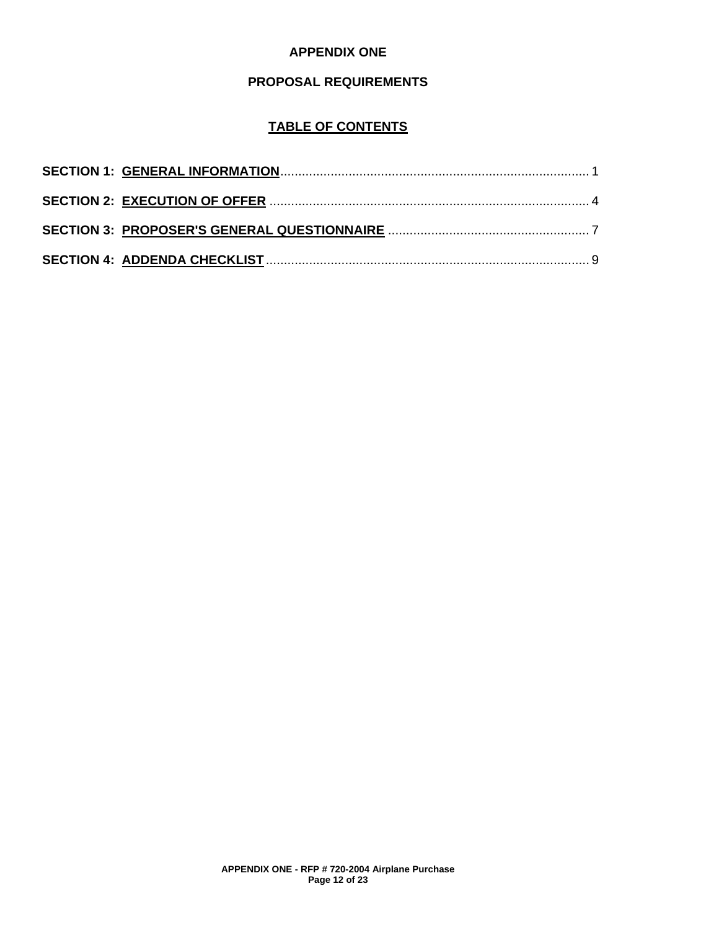## **APPENDIX ONE**

## **PROPOSAL REQUIREMENTS**

## **TABLE OF CONTENTS**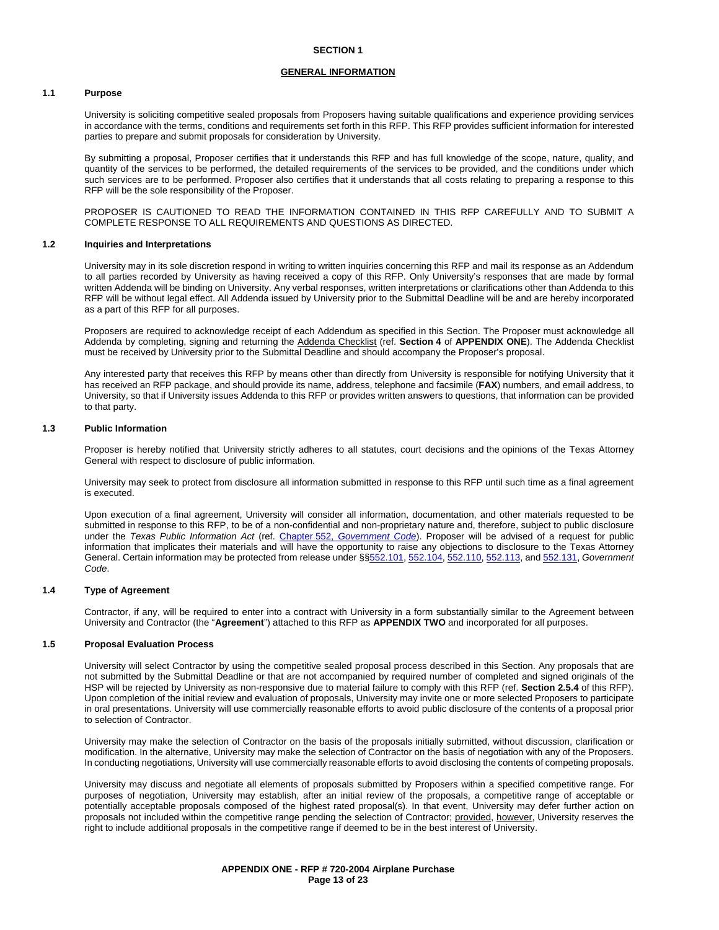#### **GENERAL INFORMATION**

#### **1.1 Purpose**

University is soliciting competitive sealed proposals from Proposers having suitable qualifications and experience providing services in accordance with the terms, conditions and requirements set forth in this RFP. This RFP provides sufficient information for interested parties to prepare and submit proposals for consideration by University.

By submitting a proposal, Proposer certifies that it understands this RFP and has full knowledge of the scope, nature, quality, and quantity of the services to be performed, the detailed requirements of the services to be provided, and the conditions under which such services are to be performed. Proposer also certifies that it understands that all costs relating to preparing a response to this RFP will be the sole responsibility of the Proposer.

PROPOSER IS CAUTIONED TO READ THE INFORMATION CONTAINED IN THIS RFP CAREFULLY AND TO SUBMIT A COMPLETE RESPONSE TO ALL REQUIREMENTS AND QUESTIONS AS DIRECTED.

#### **1.2 Inquiries and Interpretations**

University may in its sole discretion respond in writing to written inquiries concerning this RFP and mail its response as an Addendum to all parties recorded by University as having received a copy of this RFP. Only University's responses that are made by formal written Addenda will be binding on University. Any verbal responses, written interpretations or clarifications other than Addenda to this RFP will be without legal effect. All Addenda issued by University prior to the Submittal Deadline will be and are hereby incorporated as a part of this RFP for all purposes.

Proposers are required to acknowledge receipt of each Addendum as specified in this Section. The Proposer must acknowledge all Addenda by completing, signing and returning the Addenda Checklist (ref. **Section 4** of **APPENDIX ONE**). The Addenda Checklist must be received by University prior to the Submittal Deadline and should accompany the Proposer's proposal.

Any interested party that receives this RFP by means other than directly from University is responsible for notifying University that it has received an RFP package, and should provide its name, address, telephone and facsimile (**FAX**) numbers, and email address, to University, so that if University issues Addenda to this RFP or provides written answers to questions, that information can be provided to that party.

#### **1.3 Public Information**

Proposer is hereby notified that University strictly adheres to all statutes, court decisions and the opinions of the Texas Attorney General with respect to disclosure of public information.

University may seek to protect from disclosure all information submitted in response to this RFP until such time as a final agreement is executed.

Upon execution of a final agreement, University will consider all information, documentation, and other materials requested to be submitted in response to this RFP, to be of a non-confidential and non-proprietary nature and, therefore, subject to public disclosure under the *Texas Public Information Act* (ref. Chapter 552, *[Government Code](http://www.statutes.legis.state.tx.us/Docs/GV/htm/GV.552.htm)*). Proposer will be advised of a request for public information that implicates their materials and will have the opportunity to raise any objections to disclosure to the Texas Attorney General. Certain information may be protected from release under §[§552.101,](http://www.statutes.legis.state.tx.us/Docs/GV/htm/GV.552.htm#552.101) [552.104,](http://www.statutes.legis.state.tx.us/Docs/GV/htm/GV.552.htm#552.104) [552.110,](http://www.statutes.legis.state.tx.us/Docs/GV/htm/GV.552.htm#552.110) [552.113,](http://www.statutes.legis.state.tx.us/Docs/GV/htm/GV.552.htm#552.113) and [552.131,](http://www.statutes.legis.state.tx.us/Docs/GV/htm/GV.552.htm#552.131) *Government Code*.

#### **1.4 Type of Agreement**

Contractor, if any, will be required to enter into a contract with University in a form substantially similar to the Agreement between University and Contractor (the "**Agreement**") attached to this RFP as **APPENDIX TWO** and incorporated for all purposes.

#### **1.5 Proposal Evaluation Process**

University will select Contractor by using the competitive sealed proposal process described in this Section. Any proposals that are not submitted by the Submittal Deadline or that are not accompanied by required number of completed and signed originals of the HSP will be rejected by University as non-responsive due to material failure to comply with this RFP (ref. **Section 2.5.4** of this RFP). Upon completion of the initial review and evaluation of proposals, University may invite one or more selected Proposers to participate in oral presentations. University will use commercially reasonable efforts to avoid public disclosure of the contents of a proposal prior to selection of Contractor.

University may make the selection of Contractor on the basis of the proposals initially submitted, without discussion, clarification or modification. In the alternative, University may make the selection of Contractor on the basis of negotiation with any of the Proposers. In conducting negotiations, University will use commercially reasonable efforts to avoid disclosing the contents of competing proposals.

University may discuss and negotiate all elements of proposals submitted by Proposers within a specified competitive range. For purposes of negotiation, University may establish, after an initial review of the proposals, a competitive range of acceptable or potentially acceptable proposals composed of the highest rated proposal(s). In that event, University may defer further action on proposals not included within the competitive range pending the selection of Contractor; provided, however, University reserves the right to include additional proposals in the competitive range if deemed to be in the best interest of University.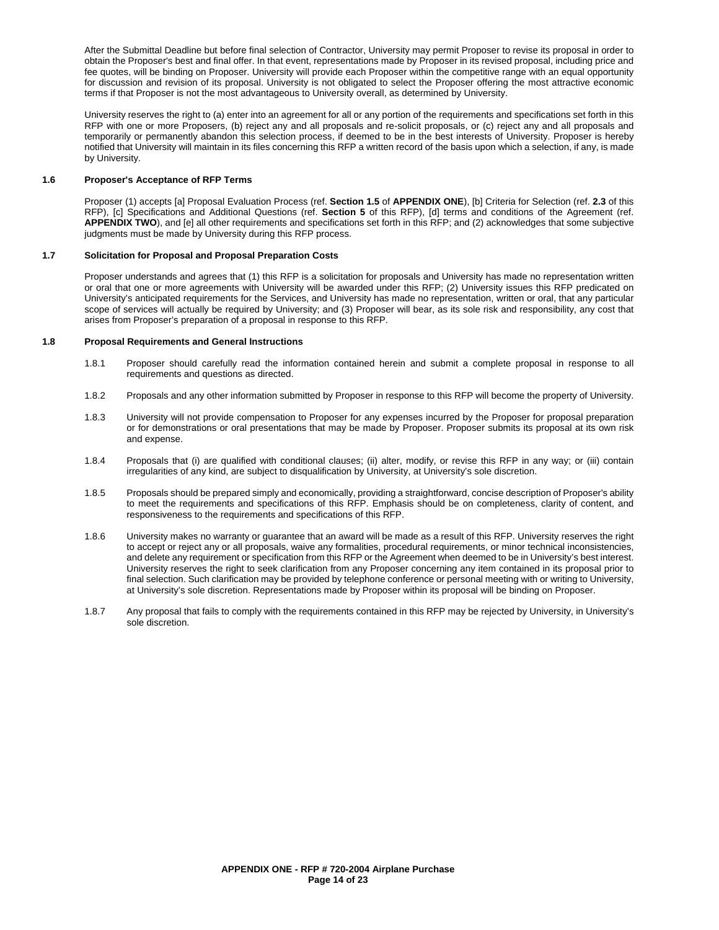After the Submittal Deadline but before final selection of Contractor, University may permit Proposer to revise its proposal in order to obtain the Proposer's best and final offer. In that event, representations made by Proposer in its revised proposal, including price and fee quotes, will be binding on Proposer. University will provide each Proposer within the competitive range with an equal opportunity for discussion and revision of its proposal. University is not obligated to select the Proposer offering the most attractive economic terms if that Proposer is not the most advantageous to University overall, as determined by University.

University reserves the right to (a) enter into an agreement for all or any portion of the requirements and specifications set forth in this RFP with one or more Proposers, (b) reject any and all proposals and re-solicit proposals, or (c) reject any and all proposals and temporarily or permanently abandon this selection process, if deemed to be in the best interests of University. Proposer is hereby notified that University will maintain in its files concerning this RFP a written record of the basis upon which a selection, if any, is made by University.

#### **1.6 Proposer's Acceptance of RFP Terms**

Proposer (1) accepts [a] Proposal Evaluation Process (ref. **Section 1.5** of **APPENDIX ONE**), [b] Criteria for Selection (ref. **2.3** of this RFP), [c] Specifications and Additional Questions (ref. **Section 5** of this RFP), [d] terms and conditions of the Agreement (ref. **APPENDIX TWO**), and [e] all other requirements and specifications set forth in this RFP; and (2) acknowledges that some subjective judgments must be made by University during this RFP process.

#### **1.7 Solicitation for Proposal and Proposal Preparation Costs**

Proposer understands and agrees that (1) this RFP is a solicitation for proposals and University has made no representation written or oral that one or more agreements with University will be awarded under this RFP; (2) University issues this RFP predicated on University's anticipated requirements for the Services, and University has made no representation, written or oral, that any particular scope of services will actually be required by University; and (3) Proposer will bear, as its sole risk and responsibility, any cost that arises from Proposer's preparation of a proposal in response to this RFP.

#### **1.8 Proposal Requirements and General Instructions**

- 1.8.1 Proposer should carefully read the information contained herein and submit a complete proposal in response to all requirements and questions as directed.
- 1.8.2 Proposals and any other information submitted by Proposer in response to this RFP will become the property of University.
- 1.8.3 University will not provide compensation to Proposer for any expenses incurred by the Proposer for proposal preparation or for demonstrations or oral presentations that may be made by Proposer. Proposer submits its proposal at its own risk and expense.
- 1.8.4 Proposals that (i) are qualified with conditional clauses; (ii) alter, modify, or revise this RFP in any way; or (iii) contain irregularities of any kind, are subject to disqualification by University, at University's sole discretion.
- 1.8.5 Proposals should be prepared simply and economically, providing a straightforward, concise description of Proposer's ability to meet the requirements and specifications of this RFP. Emphasis should be on completeness, clarity of content, and responsiveness to the requirements and specifications of this RFP.
- 1.8.6 University makes no warranty or guarantee that an award will be made as a result of this RFP. University reserves the right to accept or reject any or all proposals, waive any formalities, procedural requirements, or minor technical inconsistencies, and delete any requirement or specification from this RFP or the Agreement when deemed to be in University's best interest. University reserves the right to seek clarification from any Proposer concerning any item contained in its proposal prior to final selection. Such clarification may be provided by telephone conference or personal meeting with or writing to University, at University's sole discretion. Representations made by Proposer within its proposal will be binding on Proposer.
- 1.8.7 Any proposal that fails to comply with the requirements contained in this RFP may be rejected by University, in University's sole discretion.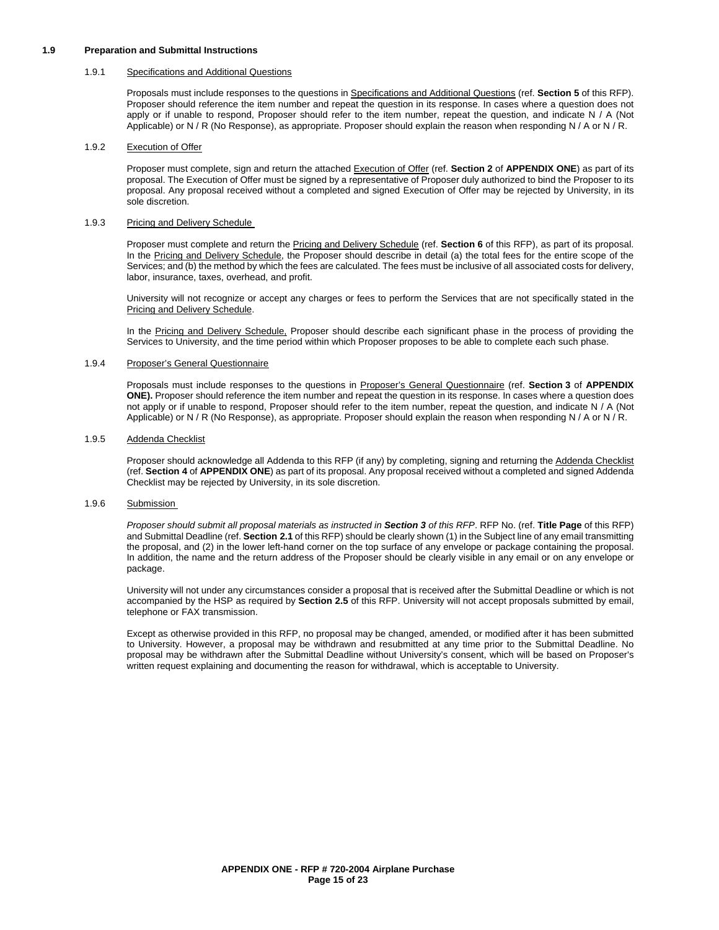#### **1.9 Preparation and Submittal Instructions**

#### 1.9.1 Specifications and Additional Questions

Proposals must include responses to the questions in Specifications and Additional Questions (ref. **Section 5** of this RFP). Proposer should reference the item number and repeat the question in its response. In cases where a question does not apply or if unable to respond, Proposer should refer to the item number, repeat the question, and indicate N / A (Not Applicable) or N / R (No Response), as appropriate. Proposer should explain the reason when responding N / A or N / R.

#### 1.9.2 Execution of Offer

Proposer must complete, sign and return the attached Execution of Offer (ref. **Section 2** of **APPENDIX ONE**) as part of its proposal. The Execution of Offer must be signed by a representative of Proposer duly authorized to bind the Proposer to its proposal. Any proposal received without a completed and signed Execution of Offer may be rejected by University, in its sole discretion.

#### 1.9.3 Pricing and Delivery Schedule

Proposer must complete and return the Pricing and Delivery Schedule (ref. **Section 6** of this RFP), as part of its proposal. In the Pricing and Delivery Schedule, the Proposer should describe in detail (a) the total fees for the entire scope of the Services; and (b) the method by which the fees are calculated. The fees must be inclusive of all associated costs for delivery, labor, insurance, taxes, overhead, and profit.

University will not recognize or accept any charges or fees to perform the Services that are not specifically stated in the Pricing and Delivery Schedule.

In the Pricing and Delivery Schedule, Proposer should describe each significant phase in the process of providing the Services to University, and the time period within which Proposer proposes to be able to complete each such phase.

#### 1.9.4 Proposer's General Questionnaire

Proposals must include responses to the questions in Proposer's General Questionnaire (ref. **Section 3** of **APPENDIX ONE).** Proposer should reference the item number and repeat the question in its response. In cases where a question does not apply or if unable to respond, Proposer should refer to the item number, repeat the question, and indicate N / A (Not Applicable) or N / R (No Response), as appropriate. Proposer should explain the reason when responding N / A or N / R.

#### 1.9.5 Addenda Checklist

Proposer should acknowledge all Addenda to this RFP (if any) by completing, signing and returning the Addenda Checklist (ref. **Section 4** of **APPENDIX ONE**) as part of its proposal. Any proposal received without a completed and signed Addenda Checklist may be rejected by University, in its sole discretion.

#### 1.9.6 Submission

*Proposer should submit all proposal materials as instructed in Section 3 of this RFP*. RFP No. (ref. **Title Page** of this RFP) and Submittal Deadline (ref. **Section 2.1** of this RFP) should be clearly shown (1) in the Subject line of any email transmitting the proposal, and (2) in the lower left-hand corner on the top surface of any envelope or package containing the proposal. In addition, the name and the return address of the Proposer should be clearly visible in any email or on any envelope or package.

University will not under any circumstances consider a proposal that is received after the Submittal Deadline or which is not accompanied by the HSP as required by **Section 2.5** of this RFP. University will not accept proposals submitted by email, telephone or FAX transmission.

Except as otherwise provided in this RFP, no proposal may be changed, amended, or modified after it has been submitted to University. However, a proposal may be withdrawn and resubmitted at any time prior to the Submittal Deadline. No proposal may be withdrawn after the Submittal Deadline without University's consent, which will be based on Proposer's written request explaining and documenting the reason for withdrawal, which is acceptable to University.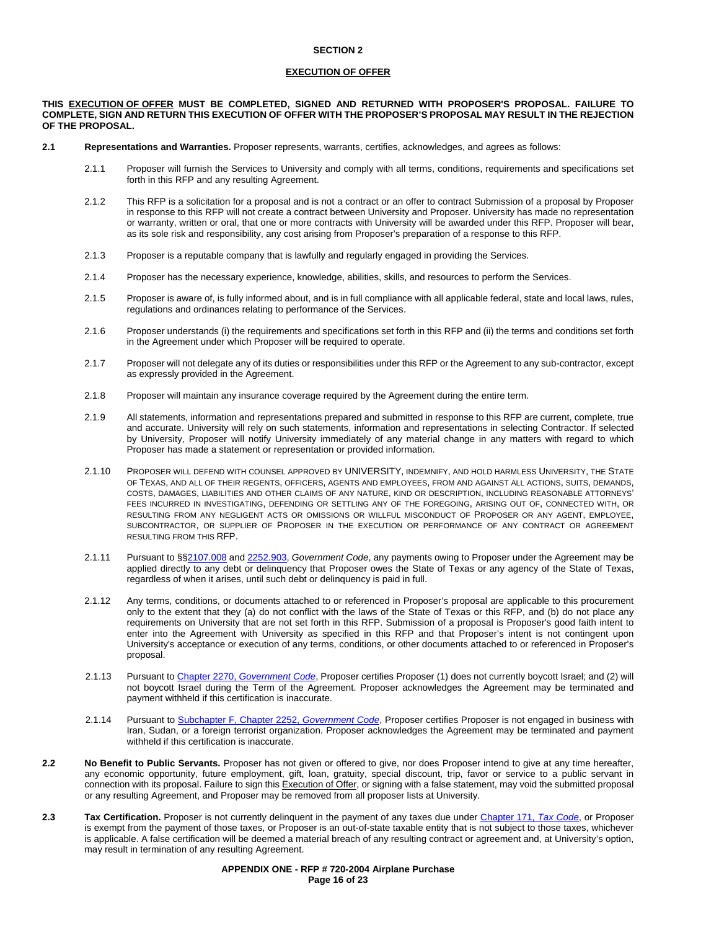#### **EXECUTION OF OFFER**

#### **THIS EXECUTION OF OFFER MUST BE COMPLETED, SIGNED AND RETURNED WITH PROPOSER'S PROPOSAL. FAILURE TO COMPLETE, SIGN AND RETURN THIS EXECUTION OF OFFER WITH THE PROPOSER'S PROPOSAL MAY RESULT IN THE REJECTION OF THE PROPOSAL.**

- **2.1 Representations and Warranties.** Proposer represents, warrants, certifies, acknowledges, and agrees as follows:
	- 2.1.1 Proposer will furnish the Services to University and comply with all terms, conditions, requirements and specifications set forth in this RFP and any resulting Agreement.
	- 2.1.2 This RFP is a solicitation for a proposal and is not a contract or an offer to contract Submission of a proposal by Proposer in response to this RFP will not create a contract between University and Proposer. University has made no representation or warranty, written or oral, that one or more contracts with University will be awarded under this RFP. Proposer will bear, as its sole risk and responsibility, any cost arising from Proposer's preparation of a response to this RFP.
	- 2.1.3 Proposer is a reputable company that is lawfully and regularly engaged in providing the Services.
	- 2.1.4 Proposer has the necessary experience, knowledge, abilities, skills, and resources to perform the Services.
	- 2.1.5 Proposer is aware of, is fully informed about, and is in full compliance with all applicable federal, state and local laws, rules, regulations and ordinances relating to performance of the Services.
	- 2.1.6 Proposer understands (i) the requirements and specifications set forth in this RFP and (ii) the terms and conditions set forth in the Agreement under which Proposer will be required to operate.
	- 2.1.7 Proposer will not delegate any of its duties or responsibilities under this RFP or the Agreement to any sub-contractor, except as expressly provided in the Agreement.
	- 2.1.8 Proposer will maintain any insurance coverage required by the Agreement during the entire term.
	- 2.1.9 All statements, information and representations prepared and submitted in response to this RFP are current, complete, true and accurate. University will rely on such statements, information and representations in selecting Contractor. If selected by University, Proposer will notify University immediately of any material change in any matters with regard to which Proposer has made a statement or representation or provided information.
	- 2.1.10 PROPOSER WILL DEFEND WITH COUNSEL APPROVED BY UNIVERSITY, INDEMNIFY, AND HOLD HARMLESS UNIVERSITY, THE STATE OF TEXAS, AND ALL OF THEIR REGENTS, OFFICERS, AGENTS AND EMPLOYEES, FROM AND AGAINST ALL ACTIONS, SUITS, DEMANDS, COSTS, DAMAGES, LIABILITIES AND OTHER CLAIMS OF ANY NATURE, KIND OR DESCRIPTION, INCLUDING REASONABLE ATTORNEYS' FEES INCURRED IN INVESTIGATING, DEFENDING OR SETTLING ANY OF THE FOREGOING, ARISING OUT OF, CONNECTED WITH, OR RESULTING FROM ANY NEGLIGENT ACTS OR OMISSIONS OR WILLFUL MISCONDUCT OF PROPOSER OR ANY AGENT, EMPLOYEE, SUBCONTRACTOR, OR SUPPLIER OF PROPOSER IN THE EXECUTION OR PERFORMANCE OF ANY CONTRACT OR AGREEMENT RESULTING FROM THIS RFP.
	- 2.1.11 Pursuant to §[§2107.008](http://www.statutes.legis.state.tx.us/Docs/GV/htm/GV.2107.htm#2107.008) and [2252.903,](http://www.statutes.legis.state.tx.us/Docs/GV/htm/GV.2252.htm#2252.903) *Government Code*, any payments owing to Proposer under the Agreement may be applied directly to any debt or delinquency that Proposer owes the State of Texas or any agency of the State of Texas, regardless of when it arises, until such debt or delinquency is paid in full.
	- 2.1.12 Any terms, conditions, or documents attached to or referenced in Proposer's proposal are applicable to this procurement only to the extent that they (a) do not conflict with the laws of the State of Texas or this RFP, and (b) do not place any requirements on University that are not set forth in this RFP. Submission of a proposal is Proposer's good faith intent to enter into the Agreement with University as specified in this RFP and that Proposer's intent is not contingent upon University's acceptance or execution of any terms, conditions, or other documents attached to or referenced in Proposer's proposal.
	- 2.1.13 Pursuant to Chapter 2270, *[Government Code](http://www.statutes.legis.state.tx.us/Docs/GV/htm/GV.2270.v2.htm)*, Proposer certifies Proposer (1) does not currently boycott Israel; and (2) will not boycott Israel during the Term of the Agreement. Proposer acknowledges the Agreement may be terminated and payment withheld if this certification is inaccurate.
	- 2.1.14 Pursuant t[o Subchapter F, Chapter 2252,](http://www.statutes.legis.state.tx.us/Docs/GV/htm/GV.2252.htm#F) *Government Code*, Proposer certifies Proposer is not engaged in business with Iran, Sudan, or a foreign terrorist organization. Proposer acknowledges the Agreement may be terminated and payment withheld if this certification is inaccurate.
- **2.2 No Benefit to Public Servants.** Proposer has not given or offered to give, nor does Proposer intend to give at any time hereafter, any economic opportunity, future employment, gift, loan, gratuity, special discount, trip, favor or service to a public servant in connection with its proposal. Failure to sign this Execution of Offer, or signing with a false statement, may void the submitted proposal or any resulting Agreement, and Proposer may be removed from all proposer lists at University.
- **2.3 Tax Certification.** Proposer is not currently delinquent in the payment of any taxes due under Chapter 171, *[Tax Code](http://www.statutes.legis.state.tx.us/Docs/TX/htm/TX.171.htm)*, or Proposer is exempt from the payment of those taxes, or Proposer is an out-of-state taxable entity that is not subject to those taxes, whichever is applicable. A false certification will be deemed a material breach of any resulting contract or agreement and, at University's option, may result in termination of any resulting Agreement.

#### **APPENDIX ONE - RFP # 720-2004 Airplane Purchase Page 16 of 23**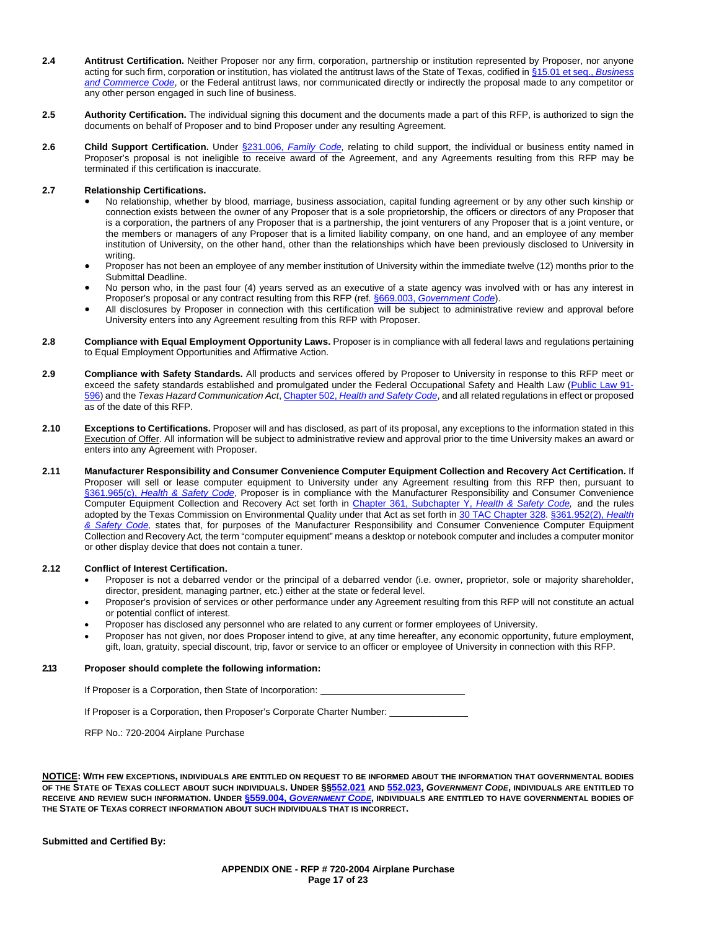- **2.4 Antitrust Certification.** Neither Proposer nor any firm, corporation, partnership or institution represented by Proposer, nor anyone acting for such firm, corporation or institution, has violated the antitrust laws of the State of Texas, codified in [§15.01 et seq.,](http://www.statutes.legis.state.tx.us/Docs/BC/htm/BC.15.htm) *Business [and Commerce Code](http://www.statutes.legis.state.tx.us/Docs/BC/htm/BC.15.htm)*, or the Federal antitrust laws, nor communicated directly or indirectly the proposal made to any competitor or any other person engaged in such line of business.
- **2.5 Authority Certification.** The individual signing this document and the documents made a part of this RFP, is authorized to sign the documents on behalf of Proposer and to bind Proposer under any resulting Agreement.
- **2.6 Child Support Certification.** Under §231.006, *[Family Code,](http://www.statutes.legis.state.tx.us/Docs/FA/htm/FA.231.htm#231.006)* relating to child support, the individual or business entity named in Proposer's proposal is not ineligible to receive award of the Agreement, and any Agreements resulting from this RFP may be terminated if this certification is inaccurate.

#### **2.7 Relationship Certifications.**

- No relationship, whether by blood, marriage, business association, capital funding agreement or by any other such kinship or connection exists between the owner of any Proposer that is a sole proprietorship, the officers or directors of any Proposer that is a corporation, the partners of any Proposer that is a partnership, the joint venturers of any Proposer that is a joint venture, or the members or managers of any Proposer that is a limited liability company, on one hand, and an employee of any member institution of University, on the other hand, other than the relationships which have been previously disclosed to University in writing.
- Proposer has not been an employee of any member institution of University within the immediate twelve (12) months prior to the Submittal Deadline.
- No person who, in the past four (4) years served as an executive of a state agency was involved with or has any interest in Proposer's proposal or any contract resulting from this RFP (ref. §669.003, *[Government Code](http://www.statutes.legis.state.tx.us/Docs/GV/htm/GV.669.htm#669.003)*).
- All disclosures by Proposer in connection with this certification will be subject to administrative review and approval before University enters into any Agreement resulting from this RFP with Proposer.
- **2.8 Compliance with Equal Employment Opportunity Laws.** Proposer is in compliance with all federal laws and regulations pertaining to Equal Employment Opportunities and Affirmative Action.
- **2.9 Compliance with Safety Standards.** All products and services offered by Proposer to University in response to this RFP meet or exceed the safety standards established and promulgated under the Federal Occupational Safety and Health Law [\(Public Law 91-](https://www.osha.gov/pls/oshaweb/owadisp.show_document?p_table=OSHACT&p_id=2743) [596\)](https://www.osha.gov/pls/oshaweb/owadisp.show_document?p_table=OSHACT&p_id=2743) and the *Texas Hazard Communication Act*, Chapter 502, *[Health and Safety Code](http://www.statutes.legis.state.tx.us/Docs/HS/htm/HS.502.htm)*, and all related regulations in effect or proposed as of the date of this RFP.
- **2.10 Exceptions to Certifications.** Proposer will and has disclosed, as part of its proposal, any exceptions to the information stated in this Execution of Offer. All information will be subject to administrative review and approval prior to the time University makes an award or enters into any Agreement with Proposer.
- **2.11 Manufacturer Responsibility and Consumer Convenience Computer Equipment Collection and Recovery Act Certification.** If Proposer will sell or lease computer equipment to University under any Agreement resulting from this RFP then, pursuant to §361.965(c), *[Health & Safety Code](http://www.statutes.legis.state.tx.us/Docs/HS/htm/HS.361.htm#361.965)*, Proposer is in compliance with the Manufacturer Responsibility and Consumer Convenience Computer Equipment Collection and Recovery Act set forth in [Chapter 361, Subchapter Y,](http://www.statutes.legis.state.tx.us/Docs/HS/htm/HS.361.htm#Y) *Health & Safety Code,* and the rules adopted by the Texas Commission on Environmental Quality under that Act as set forth in [30 TAC Chapter 328.](http://texreg.sos.state.tx.us/public/readtac$ext.ViewTAC?tac_view=5&ti=30&pt=1&ch=328&sch=I&rl=Y) [§361.952\(2\),](http://www.statutes.legis.state.tx.us/Docs/HS/htm/HS.361.htm#361.952) *Health [& Safety Code,](http://www.statutes.legis.state.tx.us/Docs/HS/htm/HS.361.htm#361.952)* states that, for purposes of the Manufacturer Responsibility and Consumer Convenience Computer Equipment Collection and Recovery Act*,* the term "computer equipment" means a desktop or notebook computer and includes a computer monitor or other display device that does not contain a tuner.

#### **2.12 Conflict of Interest Certification.**

- Proposer is not a debarred vendor or the principal of a debarred vendor (i.e. owner, proprietor, sole or majority shareholder, director, president, managing partner, etc.) either at the state or federal level.
- Proposer's provision of services or other performance under any Agreement resulting from this RFP will not constitute an actual or potential conflict of interest.
- Proposer has disclosed any personnel who are related to any current or former employees of University.
- Proposer has not given, nor does Proposer intend to give, at any time hereafter, any economic opportunity, future employment, gift, loan, gratuity, special discount, trip, favor or service to an officer or employee of University in connection with this RFP.

#### **2.13 Proposer should complete the following information:**

If Proposer is a Corporation, then State of Incorporation:

If Proposer is a Corporation, then Proposer's Corporate Charter Number: \_\_

RFP No.: 720-2004 Airplane Purchase

**NOTICE: WITH FEW EXCEPTIONS, INDIVIDUALS ARE ENTITLED ON REQUEST TO BE INFORMED ABOUT THE INFORMATION THAT GOVERNMENTAL BODIES OF THE STATE OF TEXAS COLLECT ABOUT SUCH INDIVIDUALS. UNDER §[§552.021](http://www.statutes.legis.state.tx.us/Docs/GV/htm/GV.552.htm#552.021) AND [552.023,](http://www.statutes.legis.state.tx.us/Docs/GV/htm/GV.552.htm#552.023)** *GOVERNMENT CODE***, INDIVIDUALS ARE ENTITLED TO RECEIVE AND REVIEW SUCH INFORMATION. UNDER §559.004,** *[GOVERNMENT CODE](http://www.statutes.legis.state.tx.us/Docs/GV/htm/GV.559.htm#559.004)***, INDIVIDUALS ARE ENTITLED TO HAVE GOVERNMENTAL BODIES OF THE STATE OF TEXAS CORRECT INFORMATION ABOUT SUCH INDIVIDUALS THAT IS INCORRECT.**

**Submitted and Certified By:**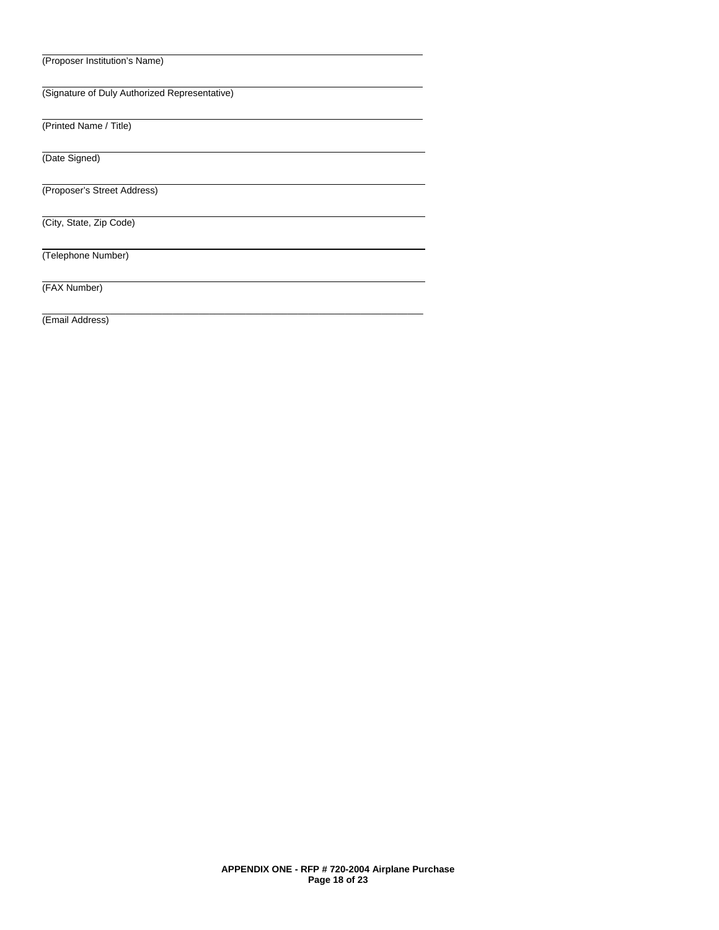(Proposer Institution's Name)

(Signature of Duly Authorized Representative)

\_\_\_\_\_\_\_\_\_\_\_\_\_\_\_\_\_\_\_\_\_\_\_\_\_\_\_\_\_\_\_\_\_\_\_\_\_\_\_\_\_\_\_\_\_\_\_\_\_\_\_\_\_\_\_\_\_\_\_\_\_\_\_\_\_\_\_\_\_\_\_\_\_

(Printed Name / Title)

(Date Signed)

(Proposer's Street Address)

(City, State, Zip Code)

(Telephone Number)

(FAX Number)

(Email Address)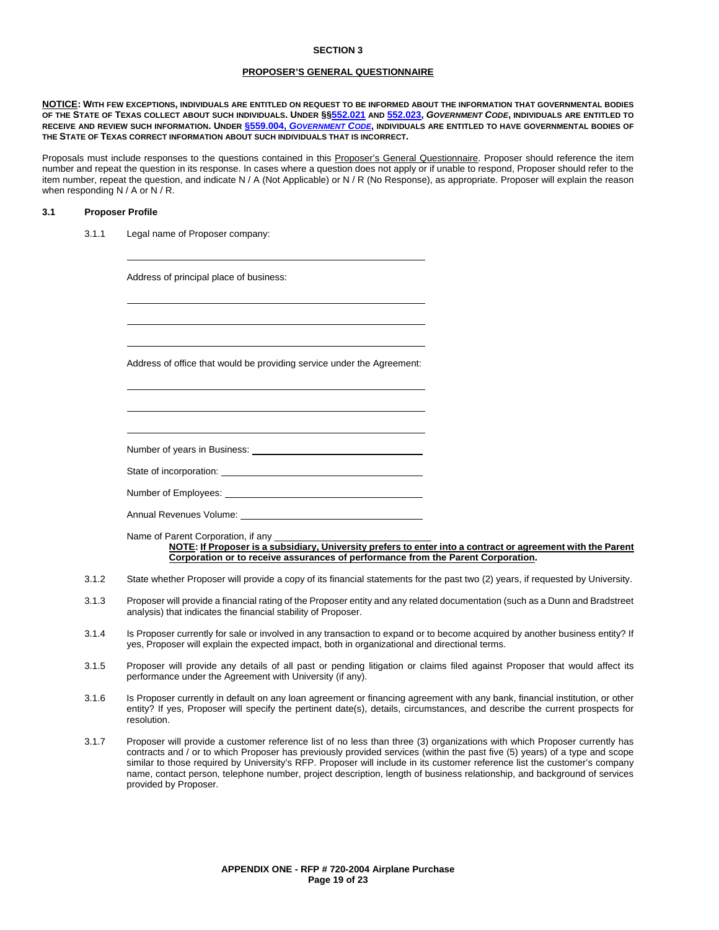#### **PROPOSER'S GENERAL QUESTIONNAIRE**

**NOTICE: WITH FEW EXCEPTIONS, INDIVIDUALS ARE ENTITLED ON REQUEST TO BE INFORMED ABOUT THE INFORMATION THAT GOVERNMENTAL BODIES OF THE STATE OF TEXAS COLLECT ABOUT SUCH INDIVIDUALS. UNDER §[§552.021](http://www.statutes.legis.state.tx.us/Docs/GV/htm/GV.552.htm#552.021) AND [552.023,](http://www.statutes.legis.state.tx.us/Docs/GV/htm/GV.552.htm#552.023)** *GOVERNMENT CODE***, INDIVIDUALS ARE ENTITLED TO RECEIVE AND REVIEW SUCH INFORMATION. UNDER §559.004,** *[GOVERNMENT CODE](http://www.statutes.legis.state.tx.us/Docs/GV/htm/GV.559.htm#559.004)***, INDIVIDUALS ARE ENTITLED TO HAVE GOVERNMENTAL BODIES OF THE STATE OF TEXAS CORRECT INFORMATION ABOUT SUCH INDIVIDUALS THAT IS INCORRECT.**

Proposals must include responses to the questions contained in this Proposer's General Questionnaire. Proposer should reference the item number and repeat the question in its response. In cases where a question does not apply or if unable to respond, Proposer should refer to the item number, repeat the question, and indicate N / A (Not Applicable) or N / R (No Response), as appropriate. Proposer will explain the reason when responding N / A or N / R.

#### **3.1 Proposer Profile**

3.1.1 Legal name of Proposer company:

Address of principal place of business:

Address of office that would be providing service under the Agreement:

Number of years in Business:

State of incorporation:

Number of Employees:

Annual Revenues Volume:

Name of Parent Corporation, if any **NOTE: If Proposer is a subsidiary, University prefers to enter into a contract or agreement with the Parent Corporation or to receive assurances of performance from the Parent Corporation.** 

- 3.1.2 State whether Proposer will provide a copy of its financial statements for the past two (2) years, if requested by University.
- 3.1.3 Proposer will provide a financial rating of the Proposer entity and any related documentation (such as a Dunn and Bradstreet analysis) that indicates the financial stability of Proposer.
- 3.1.4 Is Proposer currently for sale or involved in any transaction to expand or to become acquired by another business entity? If yes, Proposer will explain the expected impact, both in organizational and directional terms.
- 3.1.5 Proposer will provide any details of all past or pending litigation or claims filed against Proposer that would affect its performance under the Agreement with University (if any).
- 3.1.6 Is Proposer currently in default on any loan agreement or financing agreement with any bank, financial institution, or other entity? If yes, Proposer will specify the pertinent date(s), details, circumstances, and describe the current prospects for resolution.
- 3.1.7 Proposer will provide a customer reference list of no less than three (3) organizations with which Proposer currently has contracts and / or to which Proposer has previously provided services (within the past five (5) years) of a type and scope similar to those required by University's RFP. Proposer will include in its customer reference list the customer's company name, contact person, telephone number, project description, length of business relationship, and background of services provided by Proposer.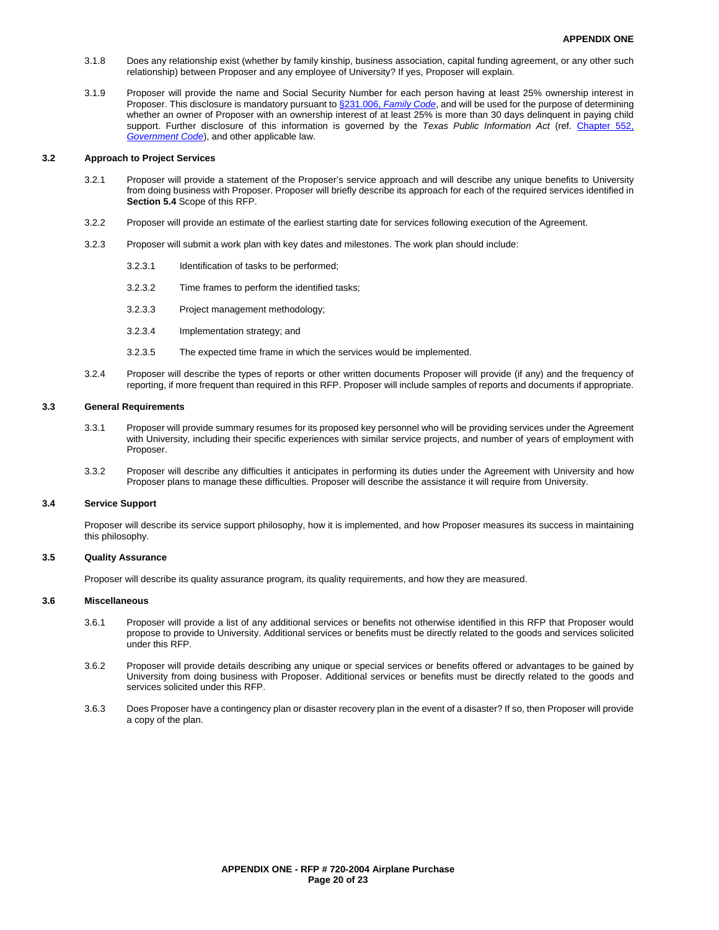- 3.1.8 Does any relationship exist (whether by family kinship, business association, capital funding agreement, or any other such relationship) between Proposer and any employee of University? If yes, Proposer will explain.
- 3.1.9 Proposer will provide the name and Social Security Number for each person having at least 25% ownership interest in Proposer. This disclosure is mandatory pursuant to §231.006, *[Family Code](http://www.statutes.legis.state.tx.us/Docs/FA/htm/FA.231.htm#231.006)*, and will be used for the purpose of determining whether an owner of Proposer with an ownership interest of at least 25% is more than 30 days delinquent in paying child support. Further disclosure of this information is governed by the *Texas Public Information Act* (ref. [Chapter 552,](http://www.statutes.legis.state.tx.us/Docs/GV/htm/GV.552.htm)  *[Government Code](http://www.statutes.legis.state.tx.us/Docs/GV/htm/GV.552.htm)*), and other applicable law.

#### **3.2 Approach to Project Services**

- 3.2.1 Proposer will provide a statement of the Proposer's service approach and will describe any unique benefits to University from doing business with Proposer. Proposer will briefly describe its approach for each of the required services identified in **Section 5.4** Scope of this RFP.
- 3.2.2 Proposer will provide an estimate of the earliest starting date for services following execution of the Agreement.
- 3.2.3 Proposer will submit a work plan with key dates and milestones. The work plan should include:
	- 3.2.3.1 Identification of tasks to be performed;
	- 3.2.3.2 Time frames to perform the identified tasks;
	- 3.2.3.3 Project management methodology;
	- 3.2.3.4 Implementation strategy; and
	- 3.2.3.5 The expected time frame in which the services would be implemented.
- 3.2.4 Proposer will describe the types of reports or other written documents Proposer will provide (if any) and the frequency of reporting, if more frequent than required in this RFP. Proposer will include samples of reports and documents if appropriate.

#### **3.3 General Requirements**

- 3.3.1 Proposer will provide summary resumes for its proposed key personnel who will be providing services under the Agreement with University, including their specific experiences with similar service projects, and number of years of employment with Proposer
- 3.3.2 Proposer will describe any difficulties it anticipates in performing its duties under the Agreement with University and how Proposer plans to manage these difficulties. Proposer will describe the assistance it will require from University.

#### **3.4 Service Support**

Proposer will describe its service support philosophy, how it is implemented, and how Proposer measures its success in maintaining this philosophy.

#### **3.5 Quality Assurance**

Proposer will describe its quality assurance program, its quality requirements, and how they are measured.

#### **3.6 Miscellaneous**

- 3.6.1 Proposer will provide a list of any additional services or benefits not otherwise identified in this RFP that Proposer would propose to provide to University. Additional services or benefits must be directly related to the goods and services solicited under this RFP.
- 3.6.2 Proposer will provide details describing any unique or special services or benefits offered or advantages to be gained by University from doing business with Proposer. Additional services or benefits must be directly related to the goods and services solicited under this RFP.
- 3.6.3 Does Proposer have a contingency plan or disaster recovery plan in the event of a disaster? If so, then Proposer will provide a copy of the plan.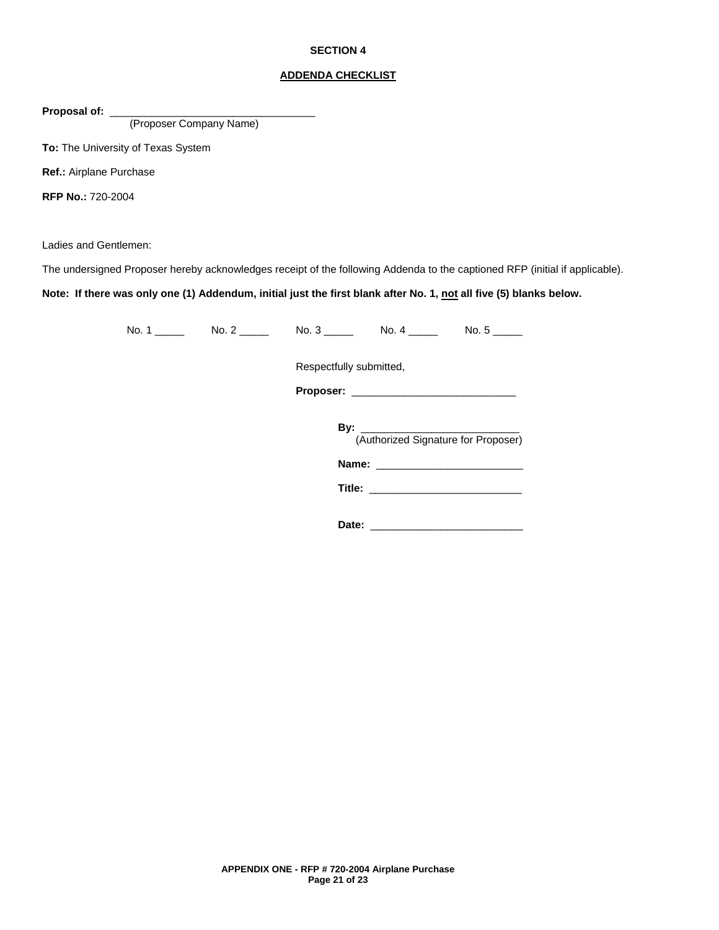#### **ADDENDA CHECKLIST**

Proposal of: \_

(Proposer Company Name)

**To:** The University of Texas System

**Ref.:** Airplane Purchase

**RFP No.:** 720-2004

Ladies and Gentlemen:

The undersigned Proposer hereby acknowledges receipt of the following Addenda to the captioned RFP (initial if applicable).

**Note: If there was only one (1) Addendum, initial just the first blank after No. 1, not all five (5) blanks below.**

| No. 2 $\frac{ }{ }$ | No. $3 \_$<br>No. $4 \_$            |
|---------------------|-------------------------------------|
|                     | Respectfully submitted,             |
|                     |                                     |
|                     | (Authorized Signature for Proposer) |
|                     |                                     |
|                     |                                     |
|                     |                                     |

**Date:** \_\_\_\_\_\_\_\_\_\_\_\_\_\_\_\_\_\_\_\_\_\_\_\_\_\_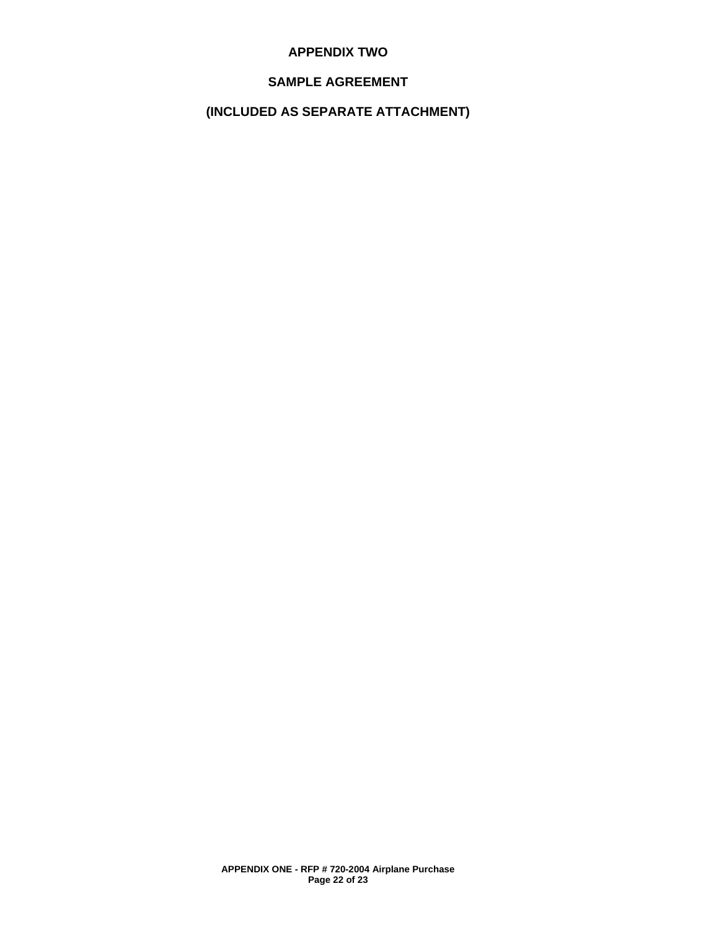## **APPENDIX TWO**

## **SAMPLE AGREEMENT**

## **(INCLUDED AS SEPARATE ATTACHMENT)**

**APPENDIX ONE - RFP # 720-2004 Airplane Purchase Page 22 of 23**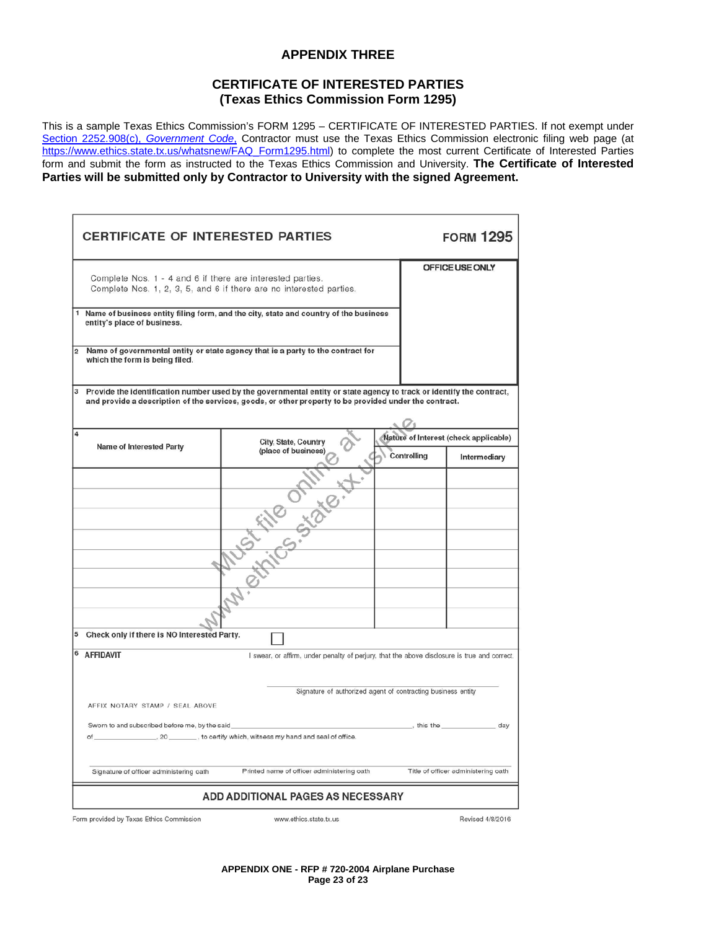## **APPENDIX THREE**

## **CERTIFICATE OF INTERESTED PARTIES (Texas Ethics Commission Form 1295)**

This is a sample Texas Ethics Commission's FORM 1295 – CERTIFICATE OF INTERESTED PARTIES. If not exempt under [Section 2252.908\(c\),](http://www.statutes.legis.state.tx.us/Docs/GV/htm/GV.2252.htm#2252.908) *Government Code*, Contractor must use the Texas Ethics Commission electronic filing web page (at [https://www.ethics.state.tx.us/whatsnew/FAQ\\_Form1295.html\)](https://www.ethics.state.tx.us/whatsnew/FAQ_Form1295.html) to complete the most current Certificate of Interested Parties form and submit the form as instructed to the Texas Ethics Commission and University. **The Certificate of Interested Parties will be submitted only by Contractor to University with the signed Agreement.** 

| <b>CERTIFICATE OF INTERESTED PARTIES</b>                   |                                                                                                                                                                                                                                |             | <b>FORM 1295</b>                      |
|------------------------------------------------------------|--------------------------------------------------------------------------------------------------------------------------------------------------------------------------------------------------------------------------------|-------------|---------------------------------------|
| Complete Nos. 1 - 4 and 6 if there are interested parties. | Complete Nos. 1, 2, 3, 5, and 6 if there are no interested parties.                                                                                                                                                            |             | OFFICE USE ONLY                       |
| entity's place of business.                                | Name of business entity filing form, and the city, state and country of the business                                                                                                                                           |             |                                       |
| $\overline{\mathbf{2}}$<br>which the form is being filed.  | Name of governmental entity or state agency that is a party to the contract for                                                                                                                                                |             |                                       |
| 3                                                          | Provide the identification number used by the governmental entity or state agency to track or identify the contract,<br>and provide a description of the services, goods, or other property to be provided under the contract. |             |                                       |
| 4                                                          | City, State, Country                                                                                                                                                                                                           |             | Nature of Interest (check applicable) |
| Name of Interested Party                                   | (place of business)<br>Muschips. 2226.                                                                                                                                                                                         | Controlling | Intermediary                          |
|                                                            |                                                                                                                                                                                                                                |             |                                       |
|                                                            |                                                                                                                                                                                                                                |             |                                       |
|                                                            |                                                                                                                                                                                                                                |             |                                       |
|                                                            |                                                                                                                                                                                                                                |             |                                       |
|                                                            |                                                                                                                                                                                                                                |             |                                       |
|                                                            |                                                                                                                                                                                                                                |             |                                       |
|                                                            |                                                                                                                                                                                                                                |             |                                       |
| Check only if there is NO Interested Party.<br>5           |                                                                                                                                                                                                                                |             |                                       |
| 6<br><b>AFFIDAVIT</b>                                      | I swear, or affirm, under penalty of perjury, that the above disclosure is true and correct.                                                                                                                                   |             |                                       |
|                                                            | Signature of authorized agent of contracting business entity                                                                                                                                                                   |             |                                       |
| AFFIX NOTARY STAMP / SEAL ABOVE                            |                                                                                                                                                                                                                                |             |                                       |
| Sworn to and subscribed before me, by the said<br>of       | . 20 ________, to certify which, witness my hand and seal of office.                                                                                                                                                           | this the    | _ day                                 |
| Signature of officer administering oath                    | Printed name of officer administering oath                                                                                                                                                                                     |             | Title of officer administering oath   |
|                                                            | <b>ADD ADDITIONAL PAGES AS NECESSARY</b>                                                                                                                                                                                       |             |                                       |
| Form provided by Texas Ethics Commission                   | www.ethics.state.tx.us                                                                                                                                                                                                         |             | Revised 4/8/2016                      |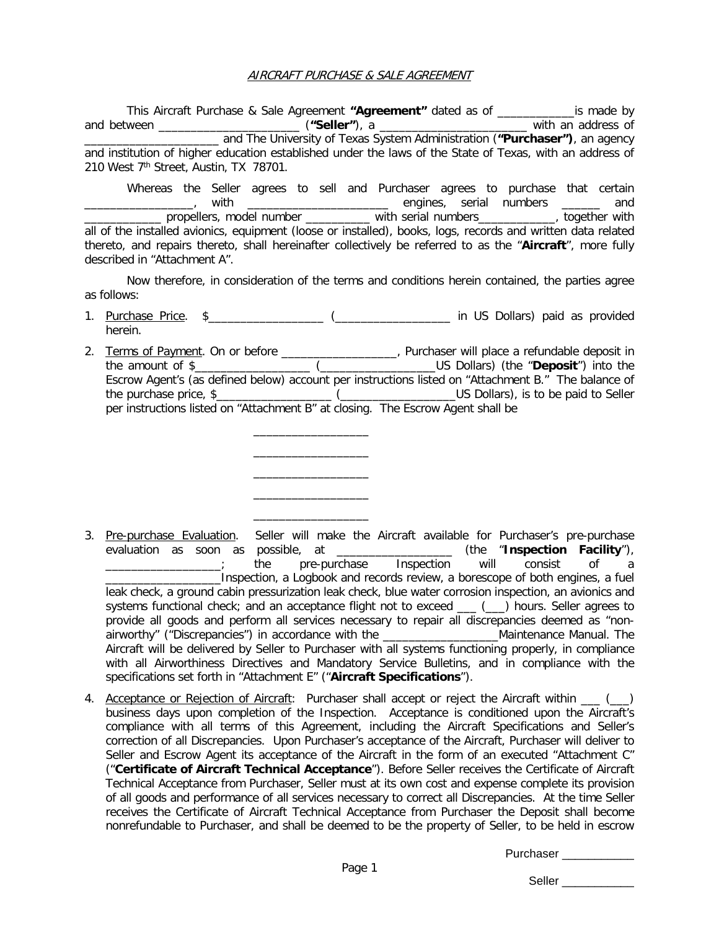### AIRCRAFT PURCHASE & SALE AGREEMENT

This Aircraft Purchase & Sale Agreement **"Agreement"** dated as of \_\_\_\_\_\_\_\_\_\_\_\_is made by and between \_\_\_\_\_\_\_\_\_\_\_\_\_\_\_\_\_\_\_\_\_\_ (**"Seller"**), a \_\_\_\_\_\_\_\_\_\_\_\_\_\_\_\_\_\_\_\_\_\_\_ with an address of \_\_\_\_\_\_\_\_\_\_\_\_\_\_\_\_\_\_\_\_\_ and The University of Texas System Administration (**"Purchaser")**, an agency and institution of higher education established under the laws of the State of Texas, with an address of 210 West 7<sup>th</sup> Street, Austin, TX 78701.

Whereas the Seller agrees to sell and Purchaser agrees to purchase that certain \_\_\_\_\_\_\_\_\_, with \_\_\_\_\_\_\_\_\_\_\_\_\_\_\_\_\_\_\_\_\_\_\_\_\_ engines, serial numbers \_\_\_\_\_\_ and \_\_\_\_\_\_\_\_\_\_\_\_ propellers, model number \_\_\_\_\_\_\_\_\_\_ with serial numbers\_\_\_\_\_\_\_\_\_\_\_\_, together with all of the installed avionics, equipment (loose or installed), books, logs, records and written data related thereto, and repairs thereto, shall hereinafter collectively be referred to as the "**Aircraft**", more fully described in "Attachment A".

Now therefore, in consideration of the terms and conditions herein contained, the parties agree as follows:

- 1. Purchase Price. \$\_\_\_\_\_\_\_\_\_\_\_\_\_\_\_\_\_\_ (\_\_\_\_\_\_\_\_\_\_\_\_\_\_\_\_\_\_ in US Dollars) paid as provided herein.
- 2. Terms of Payment. On or before \_\_\_\_\_\_\_\_\_\_\_\_\_\_\_\_\_\_, Purchaser will place a refundable deposit in the amount of \$\_\_\_\_\_\_\_\_\_\_\_\_\_\_\_\_\_\_ (\_\_\_\_\_\_\_\_\_\_\_\_\_\_\_\_\_\_US Dollars) (the "**Deposit**") into the Escrow Agent's (as defined below) account per instructions listed on "Attachment B." The balance of the purchase price, \$\_\_\_\_\_\_\_\_\_\_\_\_\_\_\_\_\_\_ (\_\_\_\_\_\_\_\_\_\_\_\_\_\_\_\_\_\_US Dollars), is to be paid to Seller per instructions listed on "Attachment B" at closing. The Escrow Agent shall be

 $\overline{\phantom{a}}$  , where  $\overline{\phantom{a}}$ \_\_\_\_\_\_\_\_\_\_\_\_\_\_\_\_\_\_ \_\_\_\_\_\_\_\_\_\_\_\_\_\_\_\_\_\_ \_\_\_\_\_\_\_\_\_\_\_\_\_\_\_\_\_\_ \_\_\_\_\_\_\_\_\_\_\_\_\_\_\_\_\_\_

- 3. Pre-purchase Evaluation. Seller will make the Aircraft available for Purchaser's pre-purchase evaluation as soon as possible, at \_\_\_\_\_\_\_\_\_\_\_\_\_\_\_\_\_\_ (the "**Inspection Facility**"), the pre-purchase Inspection will consist of a \_\_\_\_\_\_\_\_\_\_\_\_\_\_\_\_\_\_Inspection, a Logbook and records review, a borescope of both engines, a fuel leak check, a ground cabin pressurization leak check, blue water corrosion inspection, an avionics and systems functional check; and an acceptance flight not to exceed \_\_\_ (\_\_) hours. Seller agrees to provide all goods and perform all services necessary to repair all discrepancies deemed as "nonairworthy" ("Discrepancies") in accordance with the **Example 2018** Maintenance Manual. The Aircraft will be delivered by Seller to Purchaser with all systems functioning properly, in compliance with all Airworthiness Directives and Mandatory Service Bulletins, and in compliance with the specifications set forth in "Attachment E" ("**Aircraft Specifications**").
- 4. Acceptance or Rejection of Aircraft: Purchaser shall accept or reject the Aircraft within  $\qquad)$ business days upon completion of the Inspection. Acceptance is conditioned upon the Aircraft's compliance with all terms of this Agreement, including the Aircraft Specifications and Seller's correction of all Discrepancies. Upon Purchaser's acceptance of the Aircraft, Purchaser will deliver to Seller and Escrow Agent its acceptance of the Aircraft in the form of an executed "Attachment C" ("**Certificate of Aircraft Technical Acceptance**"). Before Seller receives the Certificate of Aircraft Technical Acceptance from Purchaser, Seller must at its own cost and expense complete its provision of all goods and performance of all services necessary to correct all Discrepancies. At the time Seller receives the Certificate of Aircraft Technical Acceptance from Purchaser the Deposit shall become nonrefundable to Purchaser, and shall be deemed to be the property of Seller, to be held in escrow

Purchaser **Exercises**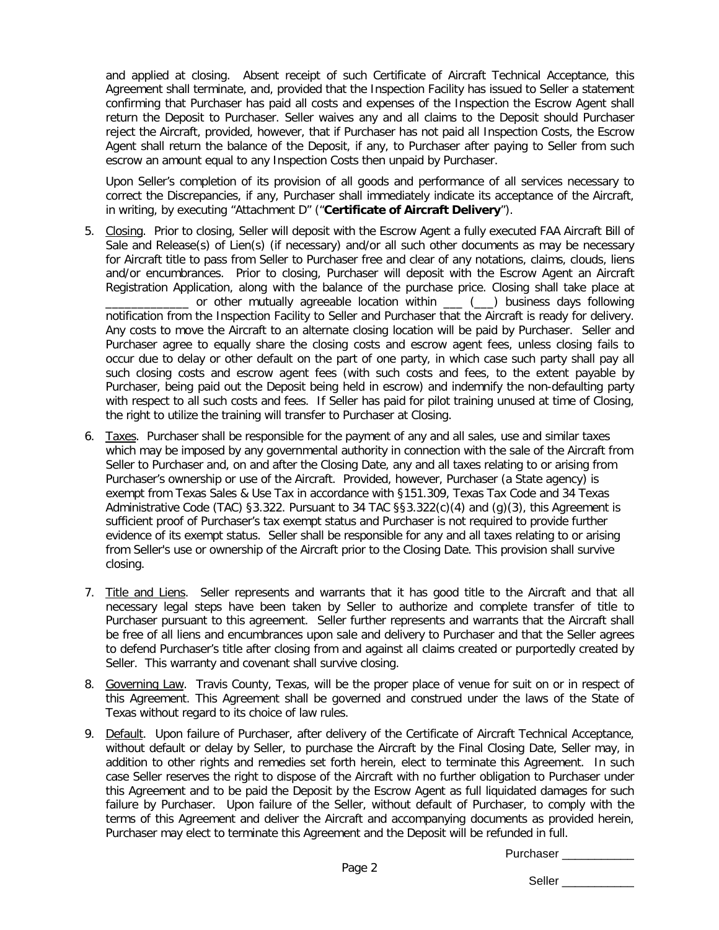and applied at closing. Absent receipt of such Certificate of Aircraft Technical Acceptance, this Agreement shall terminate, and, provided that the Inspection Facility has issued to Seller a statement confirming that Purchaser has paid all costs and expenses of the Inspection the Escrow Agent shall return the Deposit to Purchaser. Seller waives any and all claims to the Deposit should Purchaser reject the Aircraft, provided, however, that if Purchaser has not paid all Inspection Costs, the Escrow Agent shall return the balance of the Deposit, if any, to Purchaser after paying to Seller from such escrow an amount equal to any Inspection Costs then unpaid by Purchaser.

Upon Seller's completion of its provision of all goods and performance of all services necessary to correct the Discrepancies, if any, Purchaser shall immediately indicate its acceptance of the Aircraft, in writing, by executing "Attachment D" ("**Certificate of Aircraft Delivery**").

- 5. Closing. Prior to closing, Seller will deposit with the Escrow Agent a fully executed FAA Aircraft Bill of Sale and Release(s) of Lien(s) (if necessary) and/or all such other documents as may be necessary for Aircraft title to pass from Seller to Purchaser free and clear of any notations, claims, clouds, liens and/or encumbrances. Prior to closing, Purchaser will deposit with the Escrow Agent an Aircraft Registration Application, along with the balance of the purchase price. Closing shall take place at \_\_\_\_\_\_\_\_\_\_\_\_\_ or other mutually agreeable location within \_\_\_ (\_\_\_) business days following notification from the Inspection Facility to Seller and Purchaser that the Aircraft is ready for delivery. Any costs to move the Aircraft to an alternate closing location will be paid by Purchaser. Seller and Purchaser agree to equally share the closing costs and escrow agent fees, unless closing fails to occur due to delay or other default on the part of one party, in which case such party shall pay all such closing costs and escrow agent fees (with such costs and fees, to the extent payable by Purchaser, being paid out the Deposit being held in escrow) and indemnify the non-defaulting party with respect to all such costs and fees. If Seller has paid for pilot training unused at time of Closing,
- 6. Taxes. Purchaser shall be responsible for the payment of any and all sales, use and similar taxes which may be imposed by any governmental authority in connection with the sale of the Aircraft from Seller to Purchaser and, on and after the Closing Date, any and all taxes relating to or arising from Purchaser's ownership or use of the Aircraft. Provided, however, Purchaser (a State agency) is exempt from Texas Sales & Use Tax in accordance with §151.309, Texas Tax Code and 34 Texas Administrative Code (TAC) §3.322. Pursuant to 34 TAC §§3.322(c)(4) and (g)(3), this Agreement is sufficient proof of Purchaser's tax exempt status and Purchaser is not required to provide further evidence of its exempt status. Seller shall be responsible for any and all taxes relating to or arising from Seller's use or ownership of the Aircraft prior to the Closing Date. This provision shall survive closing.

the right to utilize the training will transfer to Purchaser at Closing.

- 7. Title and Liens. Seller represents and warrants that it has good title to the Aircraft and that all necessary legal steps have been taken by Seller to authorize and complete transfer of title to Purchaser pursuant to this agreement. Seller further represents and warrants that the Aircraft shall be free of all liens and encumbrances upon sale and delivery to Purchaser and that the Seller agrees to defend Purchaser's title after closing from and against all claims created or purportedly created by Seller. This warranty and covenant shall survive closing.
- 8. Governing Law. Travis County, Texas, will be the proper place of venue for suit on or in respect of this Agreement. This Agreement shall be governed and construed under the laws of the State of Texas without regard to its choice of law rules.
- 9. Default. Upon failure of Purchaser, after delivery of the Certificate of Aircraft Technical Acceptance, without default or delay by Seller, to purchase the Aircraft by the Final Closing Date, Seller may, in addition to other rights and remedies set forth herein, elect to terminate this Agreement. In such case Seller reserves the right to dispose of the Aircraft with no further obligation to Purchaser under this Agreement and to be paid the Deposit by the Escrow Agent as full liquidated damages for such failure by Purchaser. Upon failure of the Seller, without default of Purchaser, to comply with the terms of this Agreement and deliver the Aircraft and accompanying documents as provided herein, Purchaser may elect to terminate this Agreement and the Deposit will be refunded in full.

Purchaser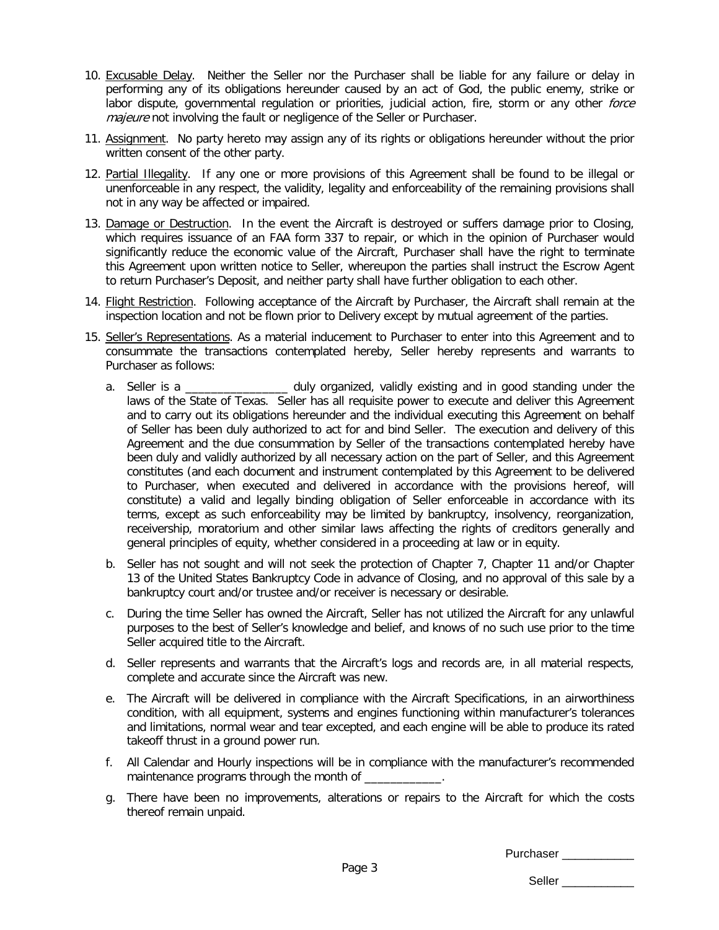- 10. Excusable Delay. Neither the Seller nor the Purchaser shall be liable for any failure or delay in performing any of its obligations hereunder caused by an act of God, the public enemy, strike or labor dispute, governmental regulation or priorities, judicial action, fire, storm or any other force majeure not involving the fault or negligence of the Seller or Purchaser.
- 11. Assignment. No party hereto may assign any of its rights or obligations hereunder without the prior written consent of the other party.
- 12. Partial Illegality. If any one or more provisions of this Agreement shall be found to be illegal or unenforceable in any respect, the validity, legality and enforceability of the remaining provisions shall not in any way be affected or impaired.
- 13. Damage or Destruction. In the event the Aircraft is destroyed or suffers damage prior to Closing, which requires issuance of an FAA form 337 to repair, or which in the opinion of Purchaser would significantly reduce the economic value of the Aircraft, Purchaser shall have the right to terminate this Agreement upon written notice to Seller, whereupon the parties shall instruct the Escrow Agent to return Purchaser's Deposit, and neither party shall have further obligation to each other.
- 14. Flight Restriction. Following acceptance of the Aircraft by Purchaser, the Aircraft shall remain at the inspection location and not be flown prior to Delivery except by mutual agreement of the parties.
- 15. Seller's Representations. As a material inducement to Purchaser to enter into this Agreement and to consummate the transactions contemplated hereby, Seller hereby represents and warrants to Purchaser as follows:
	- a. Seller is a \_\_\_\_\_\_\_\_\_\_\_\_\_\_\_\_ duly organized, validly existing and in good standing under the laws of the State of Texas. Seller has all requisite power to execute and deliver this Agreement and to carry out its obligations hereunder and the individual executing this Agreement on behalf of Seller has been duly authorized to act for and bind Seller. The execution and delivery of this Agreement and the due consummation by Seller of the transactions contemplated hereby have been duly and validly authorized by all necessary action on the part of Seller, and this Agreement constitutes (and each document and instrument contemplated by this Agreement to be delivered to Purchaser, when executed and delivered in accordance with the provisions hereof, will constitute) a valid and legally binding obligation of Seller enforceable in accordance with its terms, except as such enforceability may be limited by bankruptcy, insolvency, reorganization, receivership, moratorium and other similar laws affecting the rights of creditors generally and general principles of equity, whether considered in a proceeding at law or in equity.
	- b. Seller has not sought and will not seek the protection of Chapter 7, Chapter 11 and/or Chapter 13 of the United States Bankruptcy Code in advance of Closing, and no approval of this sale by a bankruptcy court and/or trustee and/or receiver is necessary or desirable.
	- c. During the time Seller has owned the Aircraft, Seller has not utilized the Aircraft for any unlawful purposes to the best of Seller's knowledge and belief, and knows of no such use prior to the time Seller acquired title to the Aircraft.
	- d. Seller represents and warrants that the Aircraft's logs and records are, in all material respects, complete and accurate since the Aircraft was new.
	- e. The Aircraft will be delivered in compliance with the Aircraft Specifications, in an airworthiness condition, with all equipment, systems and engines functioning within manufacturer's tolerances and limitations, normal wear and tear excepted, and each engine will be able to produce its rated takeoff thrust in a ground power run.
	- f. All Calendar and Hourly inspections will be in compliance with the manufacturer's recommended maintenance programs through the month of
	- g. There have been no improvements, alterations or repairs to the Aircraft for which the costs thereof remain unpaid.

Purchaser **Exercises**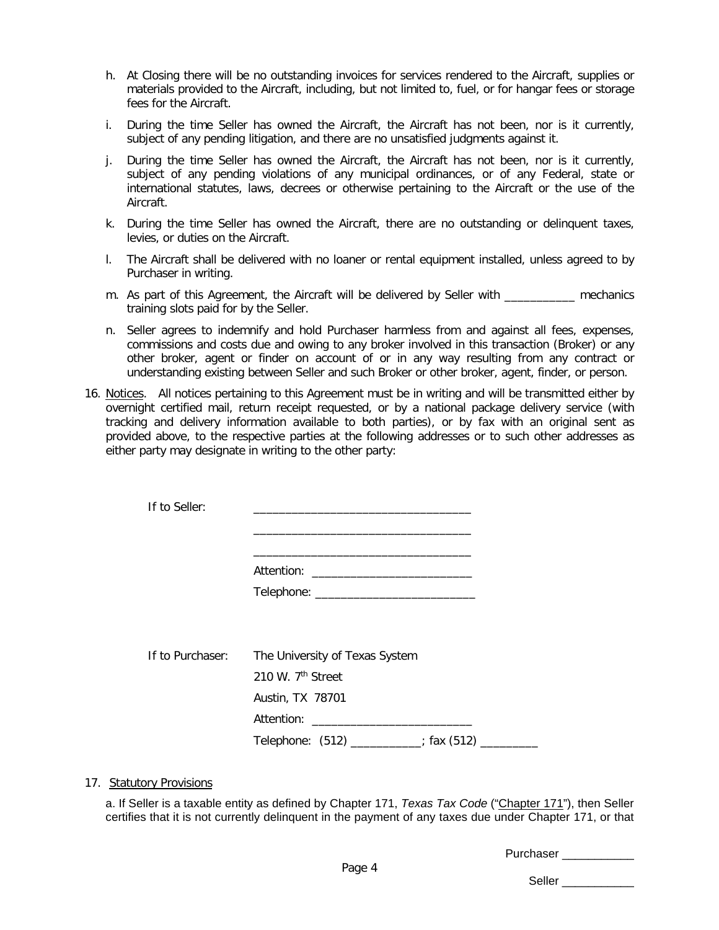- h. At Closing there will be no outstanding invoices for services rendered to the Aircraft, supplies or materials provided to the Aircraft, including, but not limited to, fuel, or for hangar fees or storage fees for the Aircraft.
- i. During the time Seller has owned the Aircraft, the Aircraft has not been, nor is it currently, subject of any pending litigation, and there are no unsatisfied judgments against it.
- j. During the time Seller has owned the Aircraft, the Aircraft has not been, nor is it currently, subject of any pending violations of any municipal ordinances, or of any Federal, state or international statutes, laws, decrees or otherwise pertaining to the Aircraft or the use of the Aircraft.
- k. During the time Seller has owned the Aircraft, there are no outstanding or delinquent taxes, levies, or duties on the Aircraft.
- l. The Aircraft shall be delivered with no loaner or rental equipment installed, unless agreed to by Purchaser in writing.
- m. As part of this Agreement, the Aircraft will be delivered by Seller with **mechanics** training slots paid for by the Seller.
- n. Seller agrees to indemnify and hold Purchaser harmless from and against all fees, expenses, commissions and costs due and owing to any broker involved in this transaction (Broker) or any other broker, agent or finder on account of or in any way resulting from any contract or understanding existing between Seller and such Broker or other broker, agent, finder, or person.
- 16. Notices. All notices pertaining to this Agreement must be in writing and will be transmitted either by overnight certified mail, return receipt requested, or by a national package delivery service (with tracking and delivery information available to both parties), or by fax with an original sent as provided above, to the respective parties at the following addresses or to such other addresses as either party may designate in writing to the other party:

| If to Seller:    |                                                |
|------------------|------------------------------------------------|
|                  |                                                |
|                  |                                                |
|                  |                                                |
| If to Purchaser: | The University of Texas System                 |
|                  | 210 W. 7 <sup>th</sup> Street                  |
|                  | Austin, TX 78701                               |
|                  |                                                |
|                  | Telephone: (512) _________; fax (512) ________ |

### 17. Statutory Provisions

a. If Seller is a taxable entity as defined by Chapter 171, *Texas Tax Code* ("Chapter 171"), then Seller certifies that it is not currently delinquent in the payment of any taxes due under Chapter 171, or that

Purchaser \_\_\_\_\_\_\_\_\_\_\_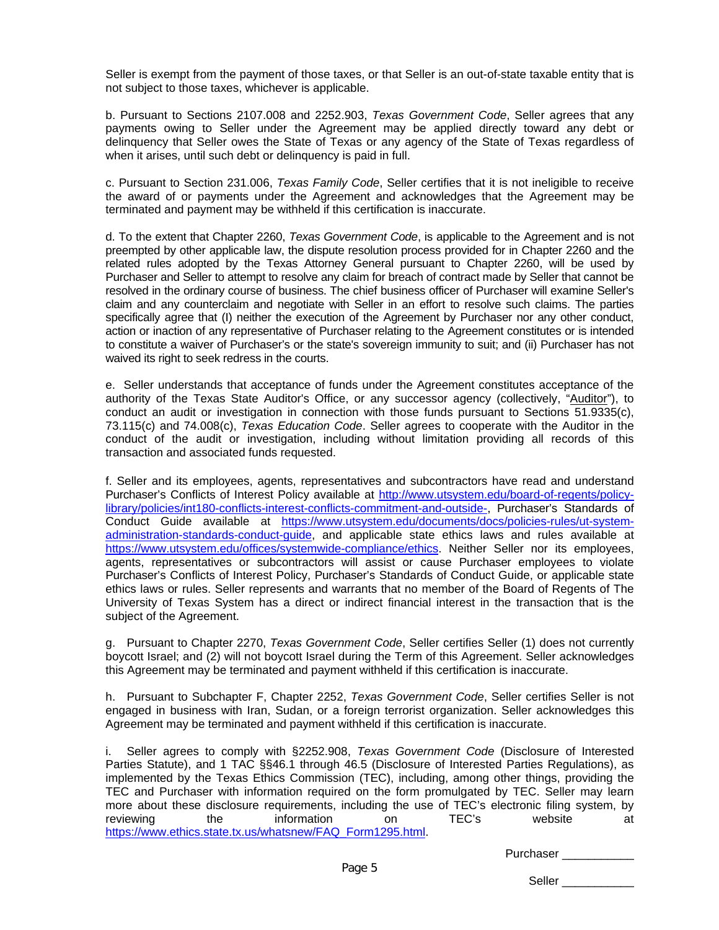Seller is exempt from the payment of those taxes, or that Seller is an out-of-state taxable entity that is not subject to those taxes, whichever is applicable.

b. Pursuant to Sections 2107.008 and 2252.903, *Texas Government Code*, Seller agrees that any payments owing to Seller under the Agreement may be applied directly toward any debt or delinquency that Seller owes the State of Texas or any agency of the State of Texas regardless of when it arises, until such debt or delinquency is paid in full.

c. Pursuant to Section 231.006, *Texas Family Code*, Seller certifies that it is not ineligible to receive the award of or payments under the Agreement and acknowledges that the Agreement may be terminated and payment may be withheld if this certification is inaccurate.

d. To the extent that Chapter 2260, *Texas Government Code*, is applicable to the Agreement and is not preempted by other applicable law, the dispute resolution process provided for in Chapter 2260 and the related rules adopted by the Texas Attorney General pursuant to Chapter 2260, will be used by Purchaser and Seller to attempt to resolve any claim for breach of contract made by Seller that cannot be resolved in the ordinary course of business. The chief business officer of Purchaser will examine Seller's claim and any counterclaim and negotiate with Seller in an effort to resolve such claims. The parties specifically agree that (I) neither the execution of the Agreement by Purchaser nor any other conduct, action or inaction of any representative of Purchaser relating to the Agreement constitutes or is intended to constitute a waiver of Purchaser's or the state's sovereign immunity to suit; and (ii) Purchaser has not waived its right to seek redress in the courts.

e. Seller understands that acceptance of funds under the Agreement constitutes acceptance of the authority of the Texas State Auditor's Office, or any successor agency (collectively, "Auditor"), to conduct an audit or investigation in connection with those funds pursuant to Sections 51.9335(c), 73.115(c) and 74.008(c), *Texas Education Code*. Seller agrees to cooperate with the Auditor in the conduct of the audit or investigation, including without limitation providing all records of this transaction and associated funds requested.

f. Seller and its employees, agents, representatives and subcontractors have read and understand Purchaser's Conflicts of Interest Policy available at [http://www.utsystem.edu/board-of-regents/policy](http://www.utsystem.edu/board-of-regents/policy-library/policies/int180-conflicts-interest-conflicts-commitment-and-outside-)[library/policies/int180-conflicts-interest-conflicts-commitment-and-outside-,](http://www.utsystem.edu/board-of-regents/policy-library/policies/int180-conflicts-interest-conflicts-commitment-and-outside-) Purchaser's Standards of Conduct Guide available at [https://www.utsystem.edu/documents/docs/policies-rules/ut-system](https://www.utsystem.edu/documents/docs/policies-rules/ut-system-administration-standards-conduct-guide)[administration-standards-conduct-guide,](https://www.utsystem.edu/documents/docs/policies-rules/ut-system-administration-standards-conduct-guide) and applicable state ethics laws and rules available at [https://www.utsystem.edu/offices/systemwide-compliance/ethics.](https://www.utsystem.edu/offices/systemwide-compliance/ethics) Neither Seller nor its employees, agents, representatives or subcontractors will assist or cause Purchaser employees to violate Purchaser's Conflicts of Interest Policy, Purchaser's Standards of Conduct Guide, or applicable state ethics laws or rules. Seller represents and warrants that no member of the Board of Regents of The University of Texas System has a direct or indirect financial interest in the transaction that is the subject of the Agreement.

g. Pursuant to Chapter 2270, *Texas Government Code*, Seller certifies Seller (1) does not currently boycott Israel; and (2) will not boycott Israel during the Term of this Agreement. Seller acknowledges this Agreement may be terminated and payment withheld if this certification is inaccurate.

h. Pursuant to Subchapter F, Chapter 2252, *Texas Government Code*, Seller certifies Seller is not engaged in business with Iran, Sudan, or a foreign terrorist organization. Seller acknowledges this Agreement may be terminated and payment withheld if this certification is inaccurate.

i. Seller agrees to comply with §2252.908, *Texas Government Code* (Disclosure of Interested Parties Statute), and 1 TAC §§46.1 through 46.5 (Disclosure of Interested Parties Regulations), as implemented by the Texas Ethics Commission (TEC), including, among other things, providing the TEC and Purchaser with information required on the form promulgated by TEC. Seller may learn more about these disclosure requirements, including the use of TEC's electronic filing system, by reviewing the information on TEC's website at [https://www.ethics.state.tx.us/whatsnew/FAQ\\_Form1295.html.](https://www.ethics.state.tx.us/whatsnew/FAQ_Form1295.html)

Purchaser **Exercises**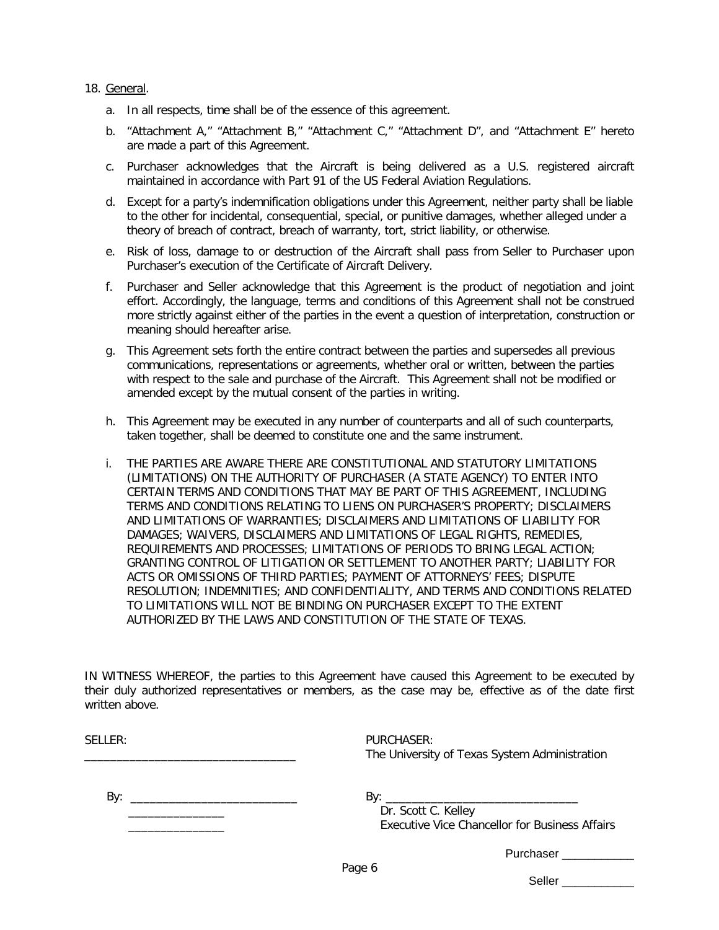### 18. General.

- a. In all respects, time shall be of the essence of this agreement.
- b. "Attachment A," "Attachment B," "Attachment C," "Attachment D", and "Attachment E" hereto are made a part of this Agreement.
- c. Purchaser acknowledges that the Aircraft is being delivered as a U.S. registered aircraft maintained in accordance with Part 91 of the US Federal Aviation Regulations.
- d. Except for a party's indemnification obligations under this Agreement, neither party shall be liable to the other for incidental, consequential, special, or punitive damages, whether alleged under a theory of breach of contract, breach of warranty, tort, strict liability, or otherwise.
- e. Risk of loss, damage to or destruction of the Aircraft shall pass from Seller to Purchaser upon Purchaser's execution of the Certificate of Aircraft Delivery.
- f. Purchaser and Seller acknowledge that this Agreement is the product of negotiation and joint effort. Accordingly, the language, terms and conditions of this Agreement shall not be construed more strictly against either of the parties in the event a question of interpretation, construction or meaning should hereafter arise.
- g. This Agreement sets forth the entire contract between the parties and supersedes all previous communications, representations or agreements, whether oral or written, between the parties with respect to the sale and purchase of the Aircraft. This Agreement shall not be modified or amended except by the mutual consent of the parties in writing.
- h. This Agreement may be executed in any number of counterparts and all of such counterparts, taken together, shall be deemed to constitute one and the same instrument.
- i. THE PARTIES ARE AWARE THERE ARE CONSTITUTIONAL AND STATUTORY LIMITATIONS (LIMITATIONS) ON THE AUTHORITY OF PURCHASER (A STATE AGENCY) TO ENTER INTO CERTAIN TERMS AND CONDITIONS THAT MAY BE PART OF THIS AGREEMENT, INCLUDING TERMS AND CONDITIONS RELATING TO LIENS ON PURCHASER'S PROPERTY; DISCLAIMERS AND LIMITATIONS OF WARRANTIES; DISCLAIMERS AND LIMITATIONS OF LIABILITY FOR DAMAGES; WAIVERS, DISCLAIMERS AND LIMITATIONS OF LEGAL RIGHTS, REMEDIES, REQUIREMENTS AND PROCESSES; LIMITATIONS OF PERIODS TO BRING LEGAL ACTION; GRANTING CONTROL OF LITIGATION OR SETTLEMENT TO ANOTHER PARTY; LIABILITY FOR ACTS OR OMISSIONS OF THIRD PARTIES; PAYMENT OF ATTORNEYS' FEES; DISPUTE RESOLUTION; INDEMNITIES; AND CONFIDENTIALITY, AND TERMS AND CONDITIONS RELATED TO LIMITATIONS WILL NOT BE BINDING ON PURCHASER EXCEPT TO THE EXTENT AUTHORIZED BY THE LAWS AND CONSTITUTION OF THE STATE OF TEXAS.

IN WITNESS WHEREOF, the parties to this Agreement have caused this Agreement to be executed by their duly authorized representatives or members, as the case may be, effective as of the date first written above.

| SELLER: | PURCHASER:<br>The University of Texas System Administration                  |
|---------|------------------------------------------------------------------------------|
| By:     | By:<br>Dr. Scott C. Kelley<br>Executive Vice Chancellor for Business Affairs |
|         | <b>Purchaser Exercise 1999</b>                                               |
|         | Page 6                                                                       |

Seller **and a**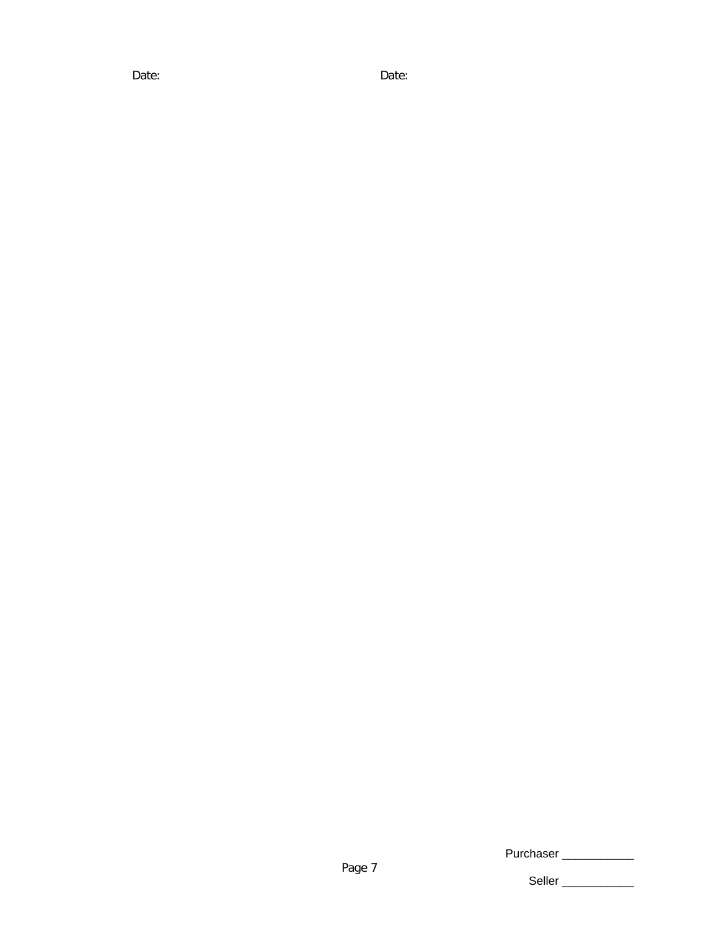Date: Date:

Purchaser \_\_\_\_\_\_\_\_\_\_\_\_\_\_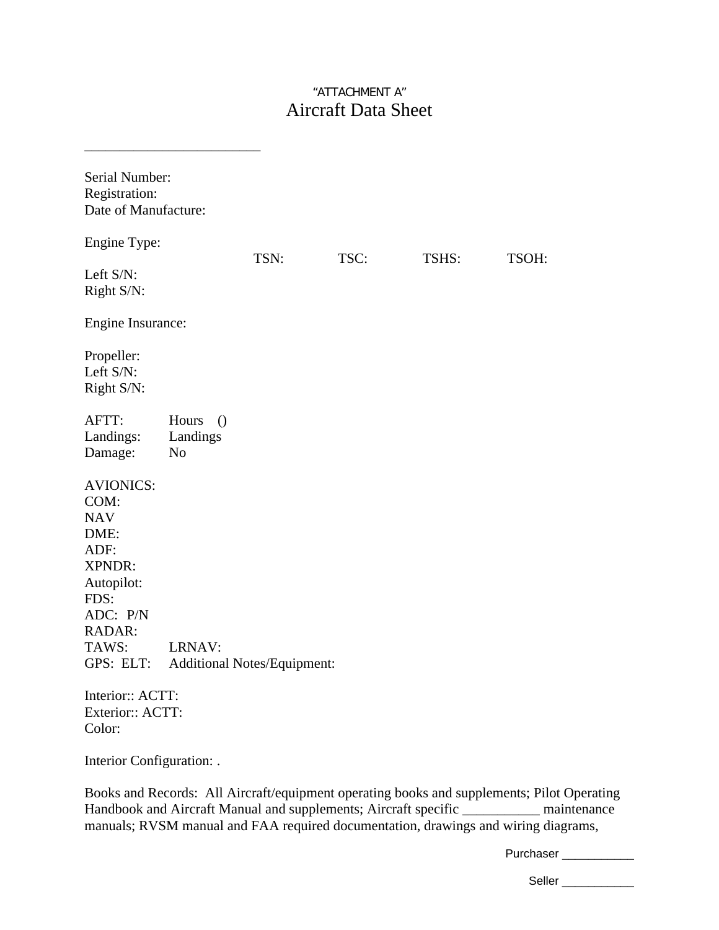## "ATTACHMENT A" Aircraft Data Sheet

| Serial Number:<br>Registration:<br>Date of Manufacture:                                                                            |                                                   |                                    |      |       |       |
|------------------------------------------------------------------------------------------------------------------------------------|---------------------------------------------------|------------------------------------|------|-------|-------|
| Engine Type:                                                                                                                       |                                                   |                                    |      |       |       |
| Left S/N:<br>Right S/N:                                                                                                            |                                                   | TSN:                               | TSC: | TSHS: | TSOH: |
| Engine Insurance:                                                                                                                  |                                                   |                                    |      |       |       |
| Propeller:<br>Left S/N:<br>Right S/N:                                                                                              |                                                   |                                    |      |       |       |
| AFTT:<br>Landings:<br>Damage:                                                                                                      | Hours<br>$\bigcirc$<br>Landings<br>N <sub>o</sub> |                                    |      |       |       |
| <b>AVIONICS:</b><br>COM:<br><b>NAV</b><br>DME:<br>ADF:<br>XPNDR:<br>Autopilot:<br>FDS:<br>ADC: P/N<br>RADAR:<br>TAWS:<br>GPS: ELT: | LRNAV:                                            | <b>Additional Notes/Equipment:</b> |      |       |       |
| Interior:: ACTT:<br>Exterior:: ACTT:<br>Color:                                                                                     |                                                   |                                    |      |       |       |

Interior Configuration: .

\_\_\_\_\_\_\_\_\_\_\_\_\_\_\_\_\_\_\_\_\_\_\_\_\_

Books and Records: All Aircraft/equipment operating books and supplements; Pilot Operating Handbook and Aircraft Manual and supplements; Aircraft specific \_\_\_\_\_\_\_\_\_\_\_ maintenance manuals; RVSM manual and FAA required documentation, drawings and wiring diagrams,

Purchaser \_\_\_\_\_\_\_\_\_\_\_\_\_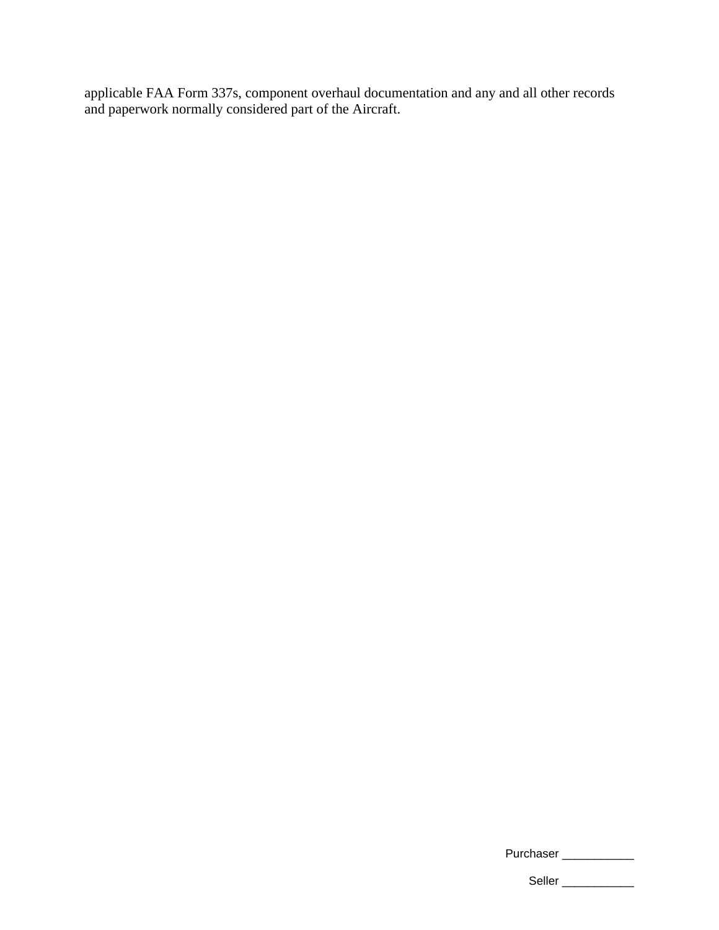applicable FAA Form 337s, component overhaul documentation and any and all other records and paperwork normally considered part of the Aircraft.

| Purchaser |  |
|-----------|--|
|-----------|--|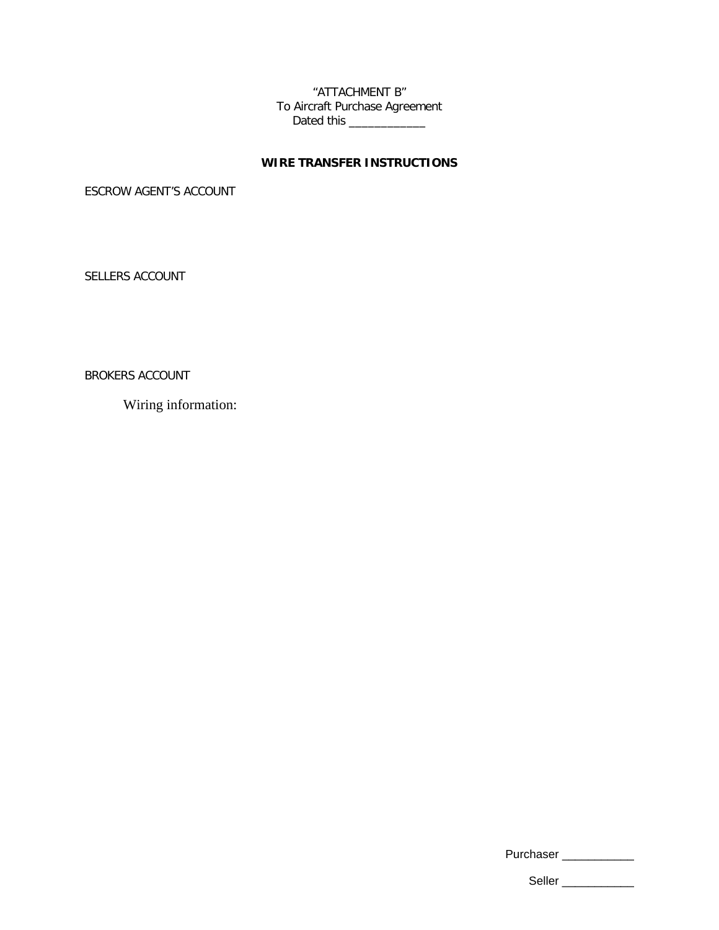"ATTACHMENT B" To Aircraft Purchase Agreement Dated this \_\_\_\_\_\_\_\_\_\_\_\_

## **WIRE TRANSFER INSTRUCTIONS**

ESCROW AGENT'S ACCOUNT

SELLERS ACCOUNT

BROKERS ACCOUNT

Wiring information:

Purchaser \_\_\_\_\_\_\_\_\_\_\_\_\_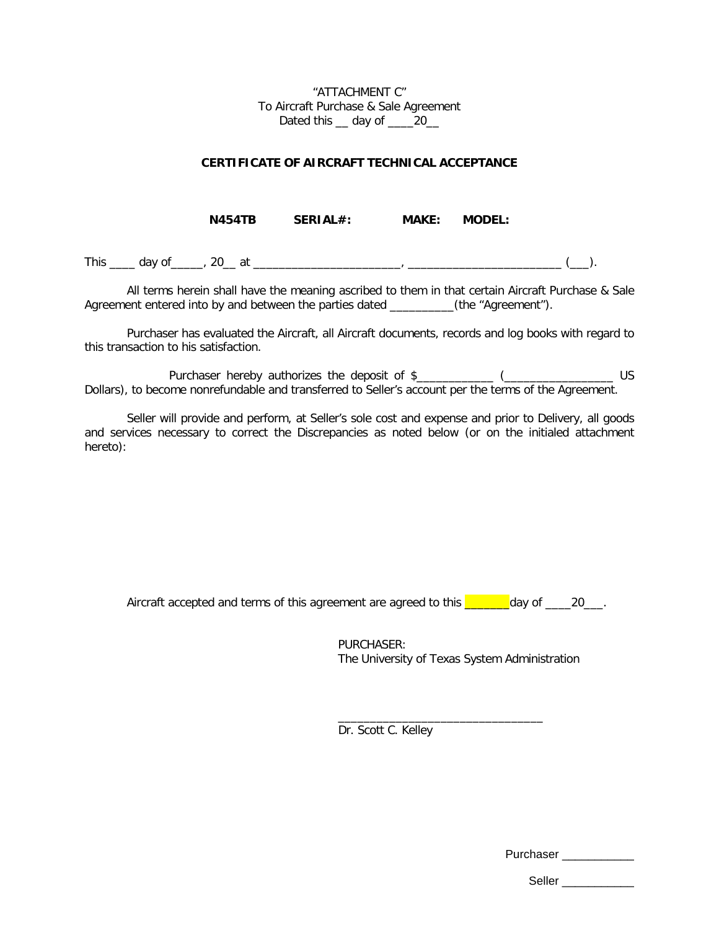"ATTACHMENT C" To Aircraft Purchase & Sale Agreement Dated this \_\_ day of \_\_\_\_20\_

### **CERTIFICATE OF AIRCRAFT TECHNICAL ACCEPTANCE**

**N454TB SERIAL#: MAKE: MODEL:** 

This \_\_\_\_ day of\_\_\_\_\_, 20\_\_ at \_\_\_\_\_\_\_\_\_\_\_\_\_\_\_\_\_\_\_\_\_\_\_, \_\_\_\_\_\_\_\_\_\_\_\_\_\_\_\_\_\_\_\_\_\_\_\_ (\_\_\_).

All terms herein shall have the meaning ascribed to them in that certain Aircraft Purchase & Sale Agreement entered into by and between the parties dated \_\_\_\_\_\_\_\_\_(the "Agreement").

Purchaser has evaluated the Aircraft, all Aircraft documents, records and log books with regard to this transaction to his satisfaction.

Purchaser hereby authorizes the deposit of \$\_\_\_\_\_\_\_\_\_\_\_\_ (\_\_\_\_\_\_\_\_\_\_\_\_\_\_\_\_\_\_\_\_\_ US Dollars), to become nonrefundable and transferred to Seller's account per the terms of the Agreement.

Seller will provide and perform, at Seller's sole cost and expense and prior to Delivery, all goods and services necessary to correct the Discrepancies as noted below (or on the initialed attachment hereto):

Aircraft accepted and terms of this agreement are agreed to this  $\sim$  day of  $\sim$  20\_\_.

PURCHASER: The University of Texas System Administration

\_\_\_\_\_\_\_\_\_\_\_\_\_\_\_\_\_\_\_\_\_\_\_\_\_\_\_\_\_\_\_\_

Dr. Scott C. Kelley

Purchaser \_\_\_\_\_\_\_\_\_\_\_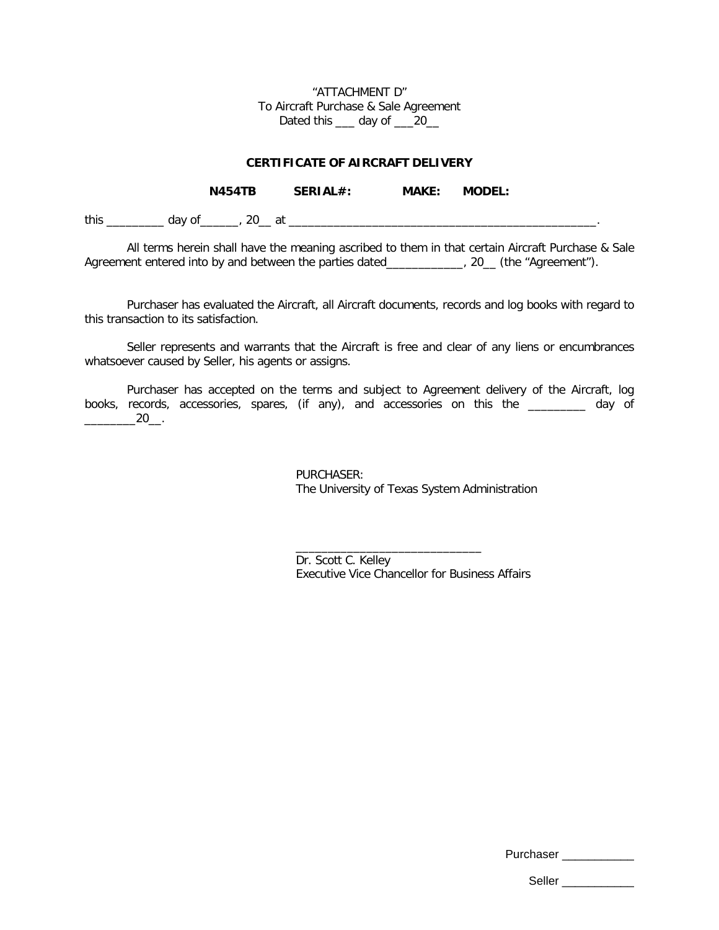"ATTACHMENT D" To Aircraft Purchase & Sale Agreement Dated this \_\_\_ day of \_\_\_20\_

### **CERTIFICATE OF AIRCRAFT DELIVERY**

|      |        | <b>N454TB</b> | SERIAL#: | <b>MAKE:</b> | <b>MODEL:</b> |
|------|--------|---------------|----------|--------------|---------------|
| this | day of | at            |          |              |               |

All terms herein shall have the meaning ascribed to them in that certain Aircraft Purchase & Sale Agreement entered into by and between the parties dated\_\_\_\_\_\_\_\_\_\_\_, 20\_ (the "Agreement").

Purchaser has evaluated the Aircraft, all Aircraft documents, records and log books with regard to this transaction to its satisfaction.

Seller represents and warrants that the Aircraft is free and clear of any liens or encumbrances whatsoever caused by Seller, his agents or assigns.

Purchaser has accepted on the terms and subject to Agreement delivery of the Aircraft, log books, records, accessories, spares, (if any), and accessories on this the \_\_\_\_\_\_\_\_\_ day of  $20$ \_\_.

> PURCHASER: The University of Texas System Administration

Dr. Scott C. Kelley Executive Vice Chancellor for Business Affairs

\_\_\_\_\_\_\_\_\_\_\_\_\_\_\_\_\_\_\_\_\_\_\_\_\_\_\_\_\_

Purchaser \_\_\_\_\_\_\_\_\_\_\_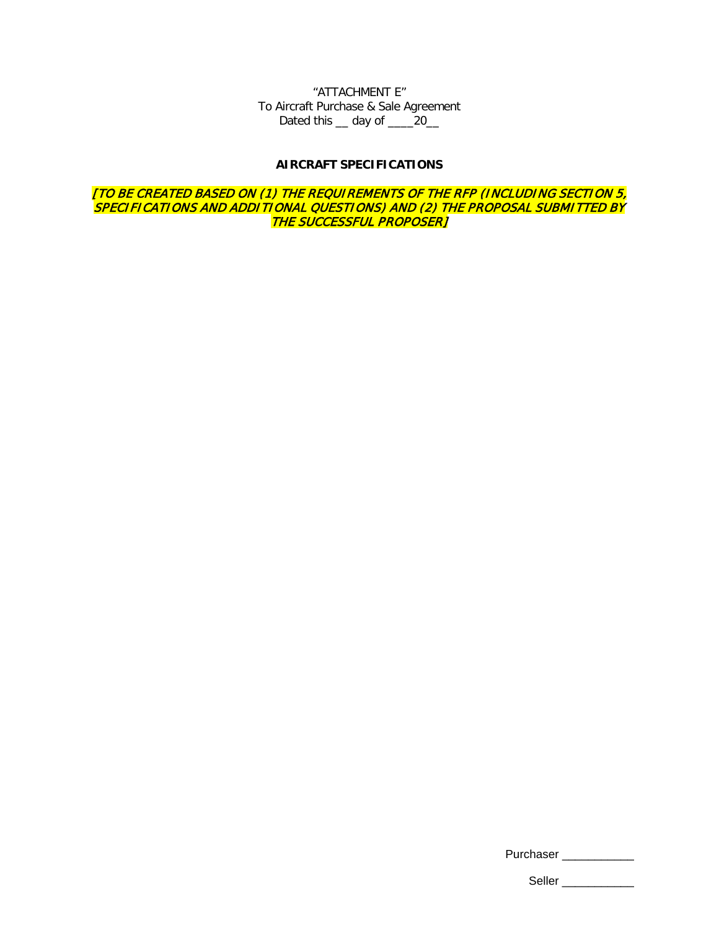"ATTACHMENT E" To Aircraft Purchase & Sale Agreement Dated this \_\_ day of \_\_\_\_20\_

### **AIRCRAFT SPECIFICATIONS**

[TO BE CREATED BASED ON (1) THE REQUIREMENTS OF THE RFP (INCLUDING SECTION 5, SPECIFICATIONS AND ADDITIONAL QUESTIONS) AND (2) THE PROPOSAL SUBMITTED BY THE SUCCESSFUL PROPOSER]

| Purchaser |
|-----------|
|-----------|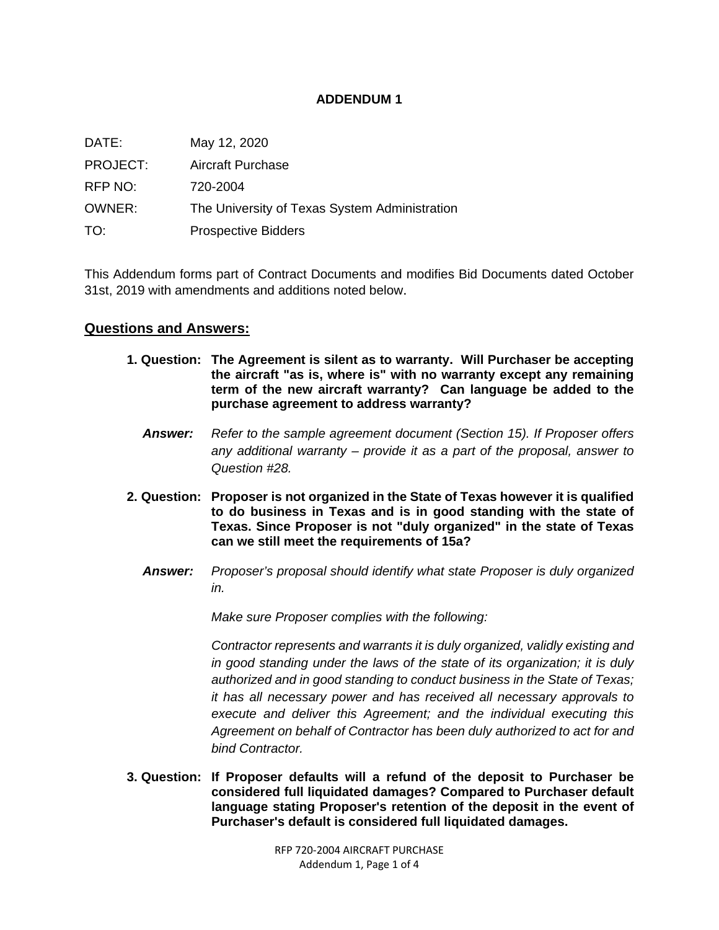## **ADDENDUM 1**

| DATE:    | May 12, 2020                                  |
|----------|-----------------------------------------------|
| PROJECT: | <b>Aircraft Purchase</b>                      |
| RFP NO:  | 720-2004                                      |
| OWNER:   | The University of Texas System Administration |
| TO:      | <b>Prospective Bidders</b>                    |

This Addendum forms part of Contract Documents and modifies Bid Documents dated October 31st, 2019 with amendments and additions noted below.

## **Questions and Answers:**

- **1. Question: The Agreement is silent as to warranty. Will Purchaser be accepting the aircraft "as is, where is" with no warranty except any remaining term of the new aircraft warranty? Can language be added to the purchase agreement to address warranty?**
	- *Answer: Refer to the sample agreement document (Section 15). If Proposer offers any additional warranty – provide it as a part of the proposal, answer to Question #28.*
- **2. Question: Proposer is not organized in the State of Texas however it is qualified to do business in Texas and is in good standing with the state of Texas. Since Proposer is not "duly organized" in the state of Texas can we still meet the requirements of 15a?**
	- *Answer: Proposer's proposal should identify what state Proposer is duly organized in.*

*Make sure Proposer complies with the following:*

*Contractor represents and warrants it is duly organized, validly existing and in good standing under the laws of the state of its organization; it is duly authorized and in good standing to conduct business in the State of Texas; it has all necessary power and has received all necessary approvals to execute and deliver this Agreement; and the individual executing this Agreement on behalf of Contractor has been duly authorized to act for and bind Contractor.*

**3. Question: If Proposer defaults will a refund of the deposit to Purchaser be considered full liquidated damages? Compared to Purchaser default language stating Proposer's retention of the deposit in the event of Purchaser's default is considered full liquidated damages.**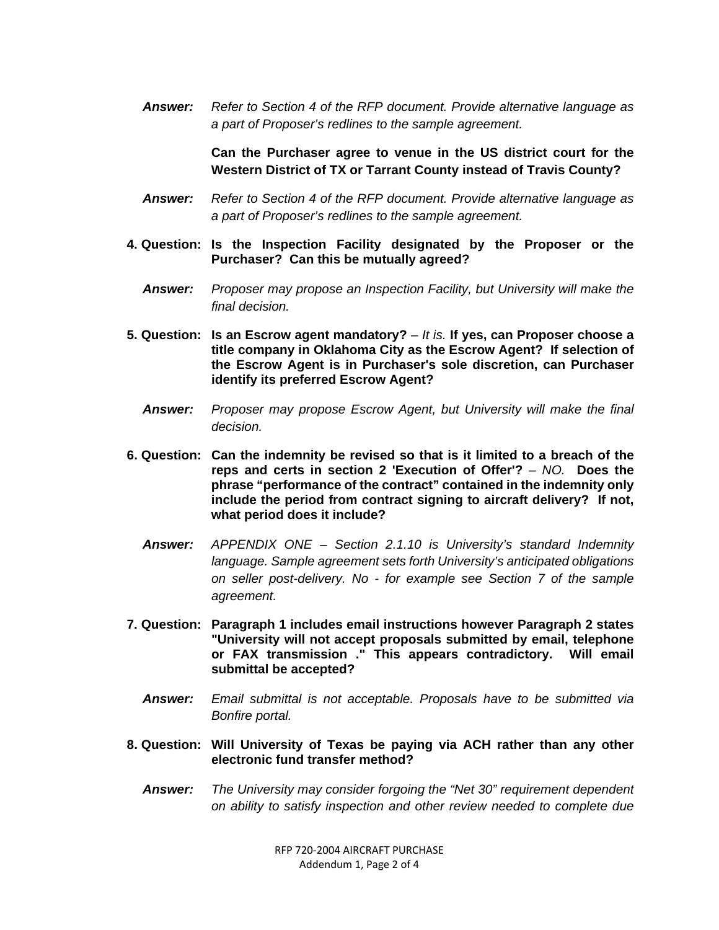*Answer: Refer to Section 4 of the RFP document. Provide alternative language as a part of Proposer's redlines to the sample agreement.*

> **Can the Purchaser agree to venue in the US district court for the Western District of TX or Tarrant County instead of Travis County?**

- *Answer: Refer to Section 4 of the RFP document. Provide alternative language as a part of Proposer's redlines to the sample agreement.*
- **4. Question: Is the Inspection Facility designated by the Proposer or the Purchaser? Can this be mutually agreed?**
	- *Answer: Proposer may propose an Inspection Facility, but University will make the final decision.*
- **5. Question: Is an Escrow agent mandatory?** *– It is.* **If yes, can Proposer choose a title company in Oklahoma City as the Escrow Agent? If selection of the Escrow Agent is in Purchaser's sole discretion, can Purchaser identify its preferred Escrow Agent?**
	- *Answer: Proposer may propose Escrow Agent, but University will make the final decision.*
- **6. Question: Can the indemnity be revised so that is it limited to a breach of the reps and certs in section 2 'Execution of Offer'?** *– NO.* **Does the phrase "performance of the contract" contained in the indemnity only include the period from contract signing to aircraft delivery? If not, what period does it include?**
	- *Answer: APPENDIX ONE – Section 2.1.10 is University's standard Indemnity language. Sample agreement sets forth University's anticipated obligations on seller post-delivery. No - for example see Section 7 of the sample agreement.*
- **7. Question: Paragraph 1 includes email instructions however Paragraph 2 states "University will not accept proposals submitted by email, telephone or FAX transmission ." This appears contradictory. Will email submittal be accepted?**
	- *Answer: Email submittal is not acceptable. Proposals have to be submitted via Bonfire portal.*
- **8. Question: Will University of Texas be paying via ACH rather than any other electronic fund transfer method?**
	- *Answer: The University may consider forgoing the "Net 30" requirement dependent on ability to satisfy inspection and other review needed to complete due*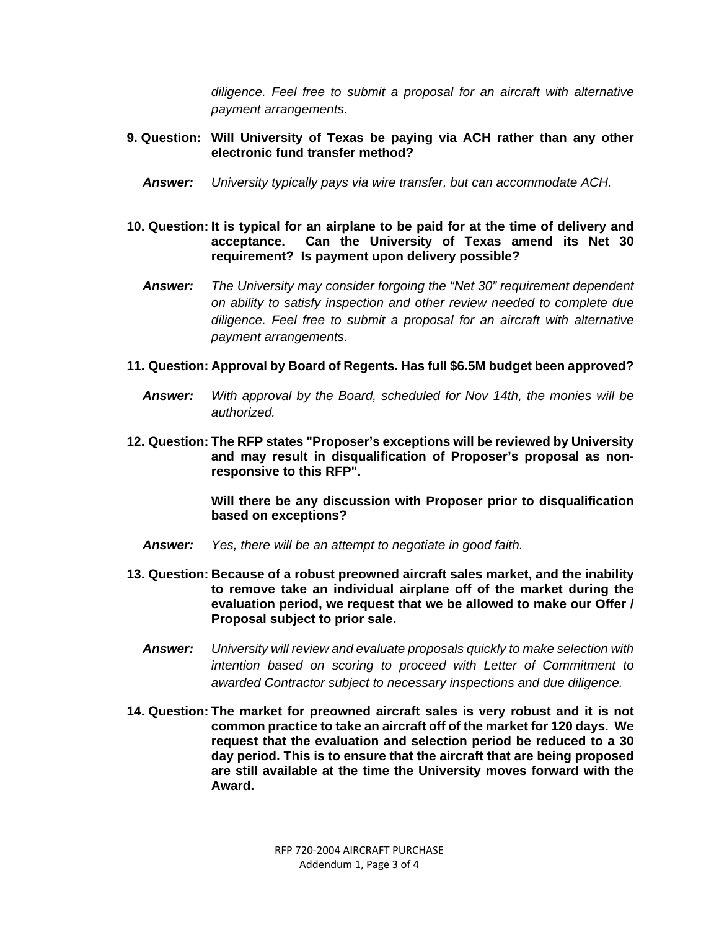*diligence. Feel free to submit a proposal for an aircraft with alternative payment arrangements.*

## **9. Question: Will University of Texas be paying via ACH rather than any other electronic fund transfer method?**

- *Answer: University typically pays via wire transfer, but can accommodate ACH.*
- **10. Question: It is typical for an airplane to be paid for at the time of delivery and acceptance. Can the University of Texas amend its Net 30 requirement? Is payment upon delivery possible?**
	- *Answer: The University may consider forgoing the "Net 30" requirement dependent on ability to satisfy inspection and other review needed to complete due diligence. Feel free to submit a proposal for an aircraft with alternative payment arrangements.*
- **11. Question: Approval by Board of Regents. Has full \$6.5M budget been approved?**
	- *Answer: With approval by the Board, scheduled for Nov 14th, the monies will be authorized.*
- **12. Question: The RFP states "Proposer's exceptions will be reviewed by University and may result in disqualification of Proposer's proposal as nonresponsive to this RFP".**

**Will there be any discussion with Proposer prior to disqualification based on exceptions?**

- *Answer: Yes, there will be an attempt to negotiate in good faith.*
- **13. Question: Because of a robust preowned aircraft sales market, and the inability to remove take an individual airplane off of the market during the evaluation period, we request that we be allowed to make our Offer / Proposal subject to prior sale.**
	- *Answer: University will review and evaluate proposals quickly to make selection with intention based on scoring to proceed with Letter of Commitment to awarded Contractor subject to necessary inspections and due diligence.*
- **14. Question: The market for preowned aircraft sales is very robust and it is not common practice to take an aircraft off of the market for 120 days. We request that the evaluation and selection period be reduced to a 30 day period. This is to ensure that the aircraft that are being proposed are still available at the time the University moves forward with the Award.**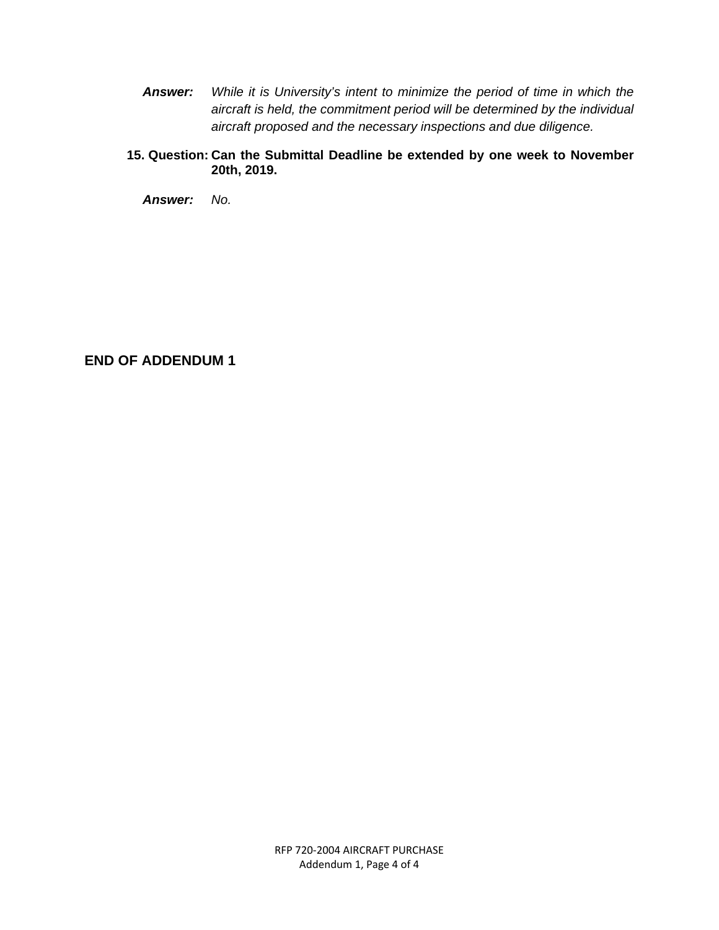- *Answer: While it is University's intent to minimize the period of time in which the aircraft is held, the commitment period will be determined by the individual aircraft proposed and the necessary inspections and due diligence.*
- **15. Question: Can the Submittal Deadline be extended by one week to November 20th, 2019.**

*Answer: No.*

## **END OF ADDENDUM 1**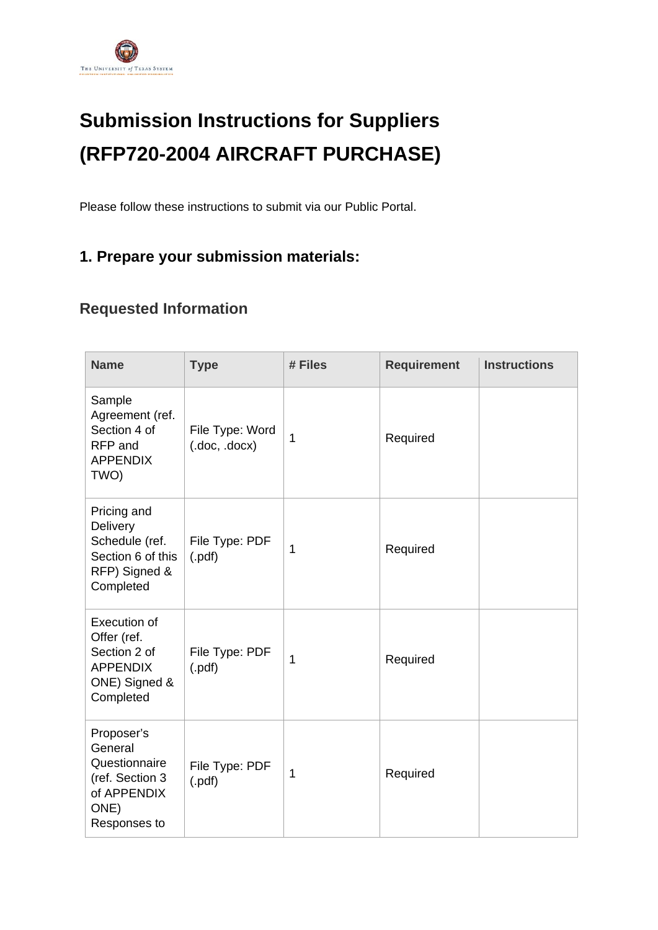

# **Submission Instructions for Suppliers (RFP720-2004 AIRCRAFT PURCHASE)**

Please follow these instructions to submit via our Public Portal.

# **1. Prepare your submission materials:**

## **Requested Information**

| <b>Name</b>                                                                                         | <b>Type</b>                    | # Files      | <b>Requirement</b> | <b>Instructions</b> |
|-----------------------------------------------------------------------------------------------------|--------------------------------|--------------|--------------------|---------------------|
| Sample<br>Agreement (ref.<br>Section 4 of<br>RFP and<br><b>APPENDIX</b><br>TWO)                     | File Type: Word<br>(doc, docx) | 1            | Required           |                     |
| Pricing and<br>Delivery<br>Schedule (ref.<br>Section 6 of this<br>RFP) Signed &<br>Completed        | File Type: PDF<br>$($ .pdf $)$ | 1            | Required           |                     |
| <b>Execution of</b><br>Offer (ref.<br>Section 2 of<br><b>APPENDIX</b><br>ONE) Signed &<br>Completed | File Type: PDF<br>(.pdf)       | 1            | Required           |                     |
| Proposer's<br>General<br>Questionnaire<br>(ref. Section 3<br>of APPENDIX<br>ONE)<br>Responses to    | File Type: PDF<br>(.pdf)       | $\mathbf{1}$ | Required           |                     |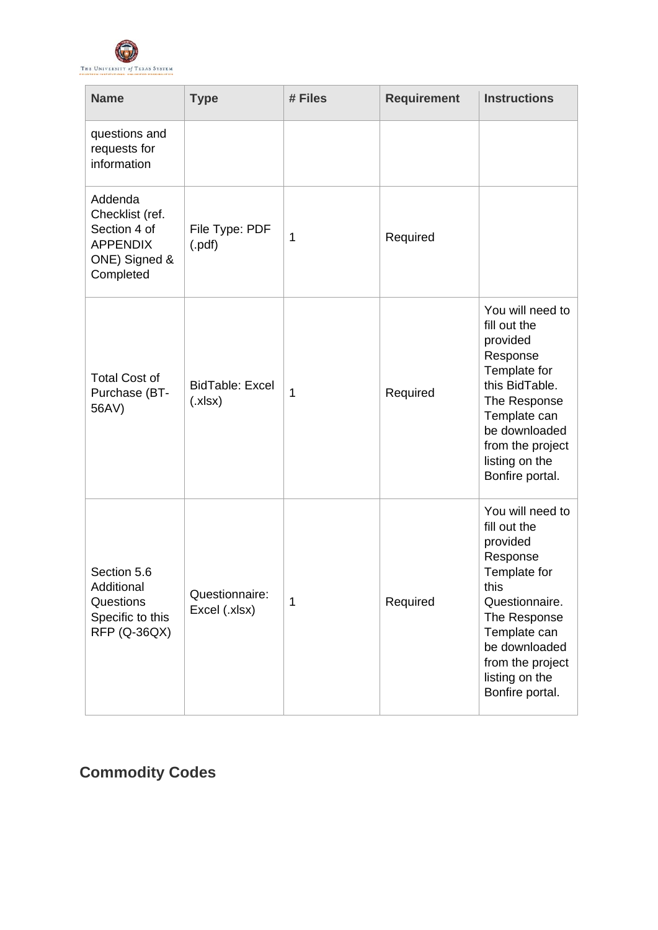

| <b>Name</b>                                                                                 | <b>Type</b>                      | # Files      | <b>Requirement</b> | <b>Instructions</b>                                                                                                                                                                                          |
|---------------------------------------------------------------------------------------------|----------------------------------|--------------|--------------------|--------------------------------------------------------------------------------------------------------------------------------------------------------------------------------------------------------------|
| questions and<br>requests for<br>information                                                |                                  |              |                    |                                                                                                                                                                                                              |
| Addenda<br>Checklist (ref.<br>Section 4 of<br><b>APPENDIX</b><br>ONE) Signed &<br>Completed | File Type: PDF<br>(.pdf)         | $\mathbf{1}$ | Required           |                                                                                                                                                                                                              |
| <b>Total Cost of</b><br>Purchase (BT-<br>56AV)                                              | <b>BidTable: Excel</b><br>(x sx) | 1            | Required           | You will need to<br>fill out the<br>provided<br>Response<br>Template for<br>this BidTable.<br>The Response<br>Template can<br>be downloaded<br>from the project<br>listing on the<br>Bonfire portal.         |
| Section 5.6<br>Additional<br>Questions<br>Specific to this<br><b>RFP (Q-36QX)</b>           | Questionnaire:<br>Excel (.xlsx)  | 1            | Required           | You will need to<br>fill out the<br>provided<br>Response<br>Template for<br>this<br>Questionnaire.<br>The Response<br>Template can<br>be downloaded<br>from the project<br>listing on the<br>Bonfire portal. |

# **Commodity Codes**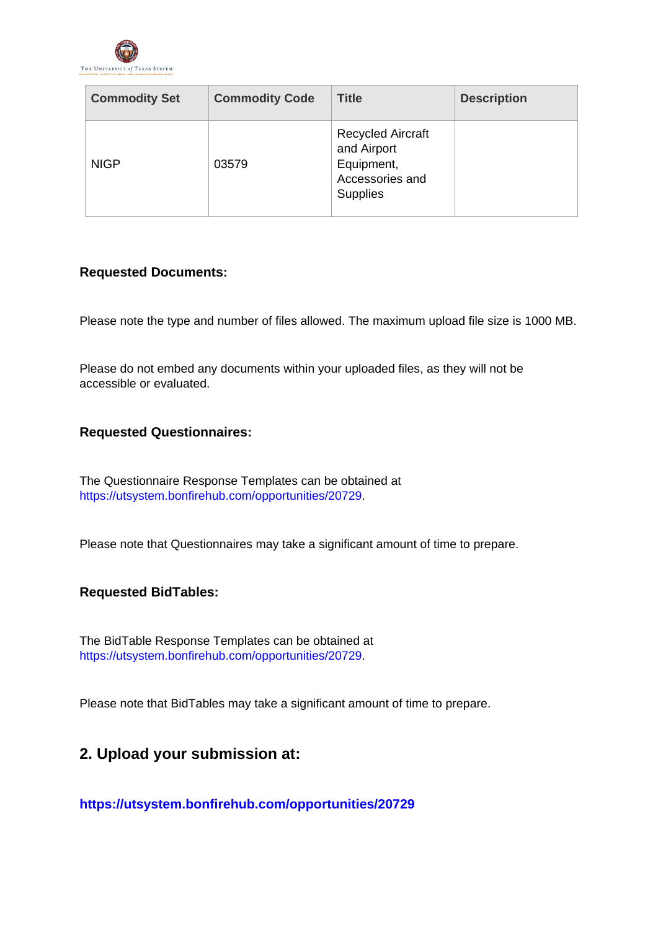

| <b>Commodity Set</b> | <b>Commodity Code</b> | <b>Title</b>                                                                                | <b>Description</b> |
|----------------------|-----------------------|---------------------------------------------------------------------------------------------|--------------------|
| <b>NIGP</b>          | 03579                 | <b>Recycled Aircraft</b><br>and Airport<br>Equipment,<br>Accessories and<br><b>Supplies</b> |                    |

## **Requested Documents:**

Please note the type and number of files allowed. The maximum upload file size is 1000 MB.

Please do not embed any documents within your uploaded files, as they will not be accessible or evaluated.

## **Requested Questionnaires:**

The Questionnaire Response Templates can be obtained at [https://utsystem.bonfirehub.com/opportunities/20729.](https://utsystem.bonfirehub.com/opportunities/20729)

Please note that Questionnaires may take a significant amount of time to prepare.

## **Requested BidTables:**

The BidTable Response Templates can be obtained at [https://utsystem.bonfirehub.com/opportunities/20729.](https://utsystem.bonfirehub.com/opportunities/20729)

Please note that BidTables may take a significant amount of time to prepare.

## **2. Upload your submission at:**

**<https://utsystem.bonfirehub.com/opportunities/20729>**